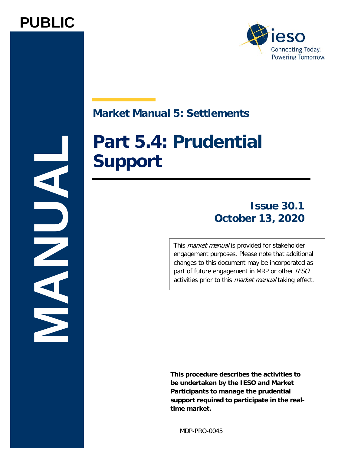



# **Market Manual 5: Settlements**

# **Part 5.4: Prudential Support**

# **Issue 30.1 October 13, 2020**

This *market manual* is provided for stakeholder engagement purposes. Please note that additional changes to this document may be incorporated as part of future engagement in MRP or other IESO activities prior to this *market manual* taking effect.

**This procedure describes the activities to be undertaken by the IESO and Market Participants to manage the prudential support required to participate in the realtime market.**

MDP-PRO-0045

**MANUAL**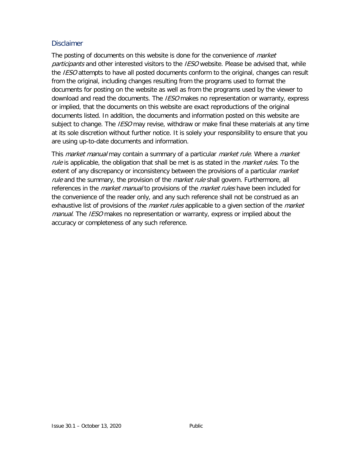#### **Disclaimer**

The posting of documents on this website is done for the convenience of *market* participants and other interested visitors to the IESO website. Please be advised that, while the IESO attempts to have all posted documents conform to the original, changes can result from the original, including changes resulting from the programs used to format the documents for posting on the website as well as from the programs used by the viewer to download and read the documents. The *IESO* makes no representation or warranty, express or implied, that the documents on this website are exact reproductions of the original documents listed. In addition, the documents and information posted on this website are subject to change. The *IESO* may revise, withdraw or make final these materials at any time at its sole discretion without further notice. It is solely your responsibility to ensure that you are using up-to-date documents and information.

This *market manual* may contain a summary of a particular *market rule*. Where a *market* rule is applicable, the obligation that shall be met is as stated in the *market rules*. To the extent of any discrepancy or inconsistency between the provisions of a particular *market* rule and the summary, the provision of the *market rule* shall govern. Furthermore, all references in the *market manual* to provisions of the *market rules* have been included for the convenience of the reader only, and any such reference shall not be construed as an exhaustive list of provisions of the *market rules* applicable to a given section of the *market* manual. The IESO makes no representation or warranty, express or implied about the accuracy or completeness of any such reference.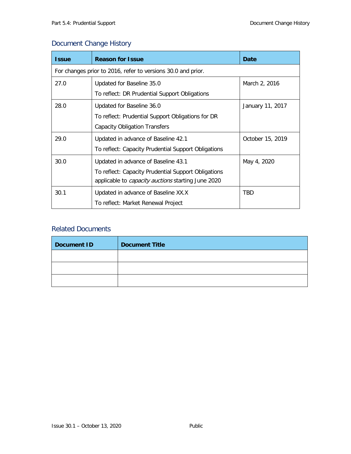### Document Change History

| <b>Issue</b> | <b>Reason for Issue</b>                                                                                                                                 | Date             |  |  |  |
|--------------|---------------------------------------------------------------------------------------------------------------------------------------------------------|------------------|--|--|--|
|              | For changes prior to 2016, refer to versions 30.0 and prior.                                                                                            |                  |  |  |  |
| 27.0         | Updated for Baseline 35.0<br>March 2, 2016<br>To reflect: DR Prudential Support Obligations                                                             |                  |  |  |  |
| 28.0         | Updated for Baseline 36.0<br>To reflect: Prudential Support Obligations for DR<br><b>Capacity Obligation Transfers</b>                                  | January 11, 2017 |  |  |  |
| 29.0         | Updated in advance of Baseline 42.1<br>To reflect: Capacity Prudential Support Obligations                                                              | October 15, 2019 |  |  |  |
| 30.0         | Updated in advance of Baseline 43.1<br>To reflect: Capacity Prudential Support Obligations<br>applicable to <i>capacity auctions</i> starting June 2020 | May 4, 2020      |  |  |  |
| 30.1         | Updated in advance of Baseline XX.X<br>To reflect: Market Renewal Project                                                                               | TBD              |  |  |  |

### Related Documents

| <b>Document ID</b> | <b>Document Title</b> |
|--------------------|-----------------------|
|                    |                       |
|                    |                       |
|                    |                       |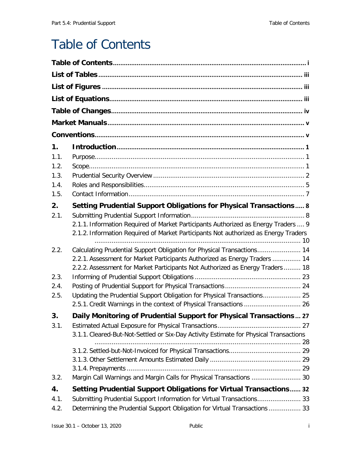# <span id="page-3-0"></span>Table of Contents

| 1.   |                                                                                                                                                      |
|------|------------------------------------------------------------------------------------------------------------------------------------------------------|
| 1.1. |                                                                                                                                                      |
| 1.2. |                                                                                                                                                      |
| 1.3. |                                                                                                                                                      |
| 1.4. |                                                                                                                                                      |
| 1.5. |                                                                                                                                                      |
| 2.   | Setting Prudential Support Obligations for Physical Transactions 8                                                                                   |
| 2.1. |                                                                                                                                                      |
|      | 2.1.1. Information Required of Market Participants Authorized as Energy Traders  9                                                                   |
|      | 2.1.2. Information Required of Market Participants Not authorized as Energy Traders                                                                  |
|      |                                                                                                                                                      |
| 2.2. | Calculating Prudential Support Obligation for Physical Transactions 14<br>2.2.1. Assessment for Market Participants Authorized as Energy Traders  14 |
|      | 2.2.2. Assessment for Market Participants Not Authorized as Energy Traders  18                                                                       |
| 2.3. |                                                                                                                                                      |
| 2.4. |                                                                                                                                                      |
| 2.5. | Updating the Prudential Support Obligation for Physical Transactions 25                                                                              |
|      | 2.5.1. Credit Warnings in the context of Physical Transactions  26                                                                                   |
| 3.   | Daily Monitoring of Prudential Support for Physical Transactions  27                                                                                 |
| 3.1. |                                                                                                                                                      |
|      | 3.1.1. Cleared-But-Not-Settled or Six-Day Activity Estimate for Physical Transactions                                                                |
|      |                                                                                                                                                      |
|      |                                                                                                                                                      |
|      |                                                                                                                                                      |
|      |                                                                                                                                                      |
| 3.2. | Margin Call Warnings and Margin Calls for Physical Transactions  30                                                                                  |
| 4.   | Setting Prudential Support Obligations for Virtual Transactions 32                                                                                   |
| 4.1. | Submitting Prudential Support Information for Virtual Transactions 33                                                                                |
| 4.2. | Determining the Prudential Support Obligation for Virtual Transactions  33                                                                           |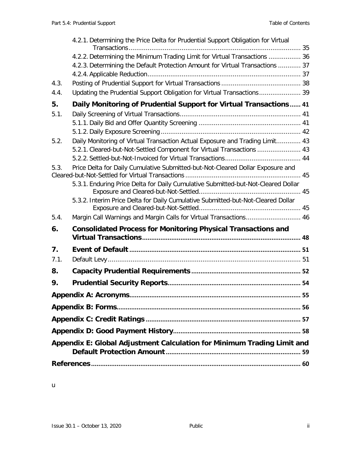|      | 4.2.1. Determining the Price Delta for Prudential Support Obligation for Virtual  |
|------|-----------------------------------------------------------------------------------|
|      | 4.2.2. Determining the Minimum Trading Limit for Virtual Transactions  36         |
|      | 4.2.3. Determining the Default Protection Amount for Virtual Transactions  37     |
|      |                                                                                   |
| 4.3. |                                                                                   |
| 4.4. | Updating the Prudential Support Obligation for Virtual Transactions 39            |
| 5.   | Daily Monitoring of Prudential Support for Virtual Transactions 41                |
| 5.1. |                                                                                   |
|      |                                                                                   |
|      |                                                                                   |
| 5.2. | Daily Monitoring of Virtual Transaction Actual Exposure and Trading Limit 43      |
|      | 5.2.1. Cleared-but-Not-Settled Component for Virtual Transactions  43             |
| 5.3. | Price Delta for Daily Cumulative Submitted-but-Not-Cleared Dollar Exposure and    |
|      |                                                                                   |
|      | 5.3.1. Enduring Price Delta for Daily Cumulative Submitted-but-Not-Cleared Dollar |
|      | 5.3.2. Interim Price Delta for Daily Cumulative Submitted-but-Not-Cleared Dollar  |
| 5.4. | Margin Call Warnings and Margin Calls for Virtual Transactions 46                 |
| 6.   | <b>Consolidated Process for Monitoring Physical Transactions and</b>              |
| 7.   |                                                                                   |
| 7.1. |                                                                                   |
| 8.   |                                                                                   |
| 9.   |                                                                                   |
|      |                                                                                   |
|      |                                                                                   |
|      |                                                                                   |
|      |                                                                                   |
|      | Appendix E: Global Adjustment Calculation for Minimum Trading Limit and           |
|      |                                                                                   |

u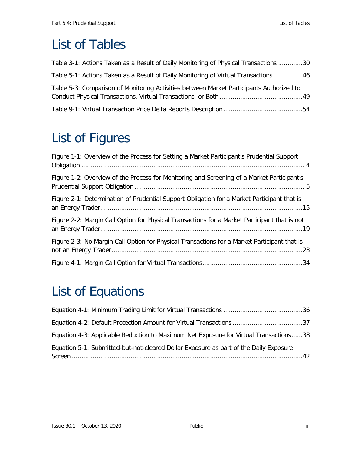# <span id="page-5-0"></span>List of Tables

| Table 3-1: Actions Taken as a Result of Daily Monitoring of Physical Transactions 30     |  |
|------------------------------------------------------------------------------------------|--|
| Table 5-1: Actions Taken as a Result of Daily Monitoring of Virtual Transactions46       |  |
| Table 5-3: Comparison of Monitoring Activities between Market Participants Authorized to |  |
|                                                                                          |  |

# <span id="page-5-1"></span>List of Figures

| Figure 1-1: Overview of the Process for Setting a Market Participant's Prudential Support     |  |
|-----------------------------------------------------------------------------------------------|--|
| Figure 1-2: Overview of the Process for Monitoring and Screening of a Market Participant's    |  |
| Figure 2-1: Determination of Prudential Support Obligation for a Market Participant that is   |  |
| Figure 2-2: Margin Call Option for Physical Transactions for a Market Participant that is not |  |
| Figure 2-3: No Margin Call Option for Physical Transactions for a Market Participant that is  |  |
|                                                                                               |  |

# <span id="page-5-2"></span>List of Equations

| Equation 4-2: Default Protection Amount for Virtual Transactions 37                   |  |
|---------------------------------------------------------------------------------------|--|
| Equation 4-3: Applicable Reduction to Maximum Net Exposure for Virtual Transactions38 |  |
| Equation 5-1: Submitted-but-not-cleared Dollar Exposure as part of the Daily Exposure |  |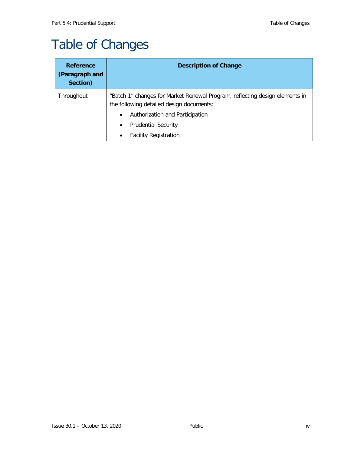# <span id="page-6-0"></span>Table of Changes

| <b>Reference</b><br>(Paragraph and<br>Section) | <b>Description of Change</b>                                                                                                                                            |
|------------------------------------------------|-------------------------------------------------------------------------------------------------------------------------------------------------------------------------|
| Throughout                                     | "Batch 1" changes for Market Renewal Program, reflecting design elements in<br>the following detailed design documents:<br>Authorization and Participation<br>$\bullet$ |
|                                                | <b>Prudential Security</b><br>$\bullet$<br><b>Facility Registration</b>                                                                                                 |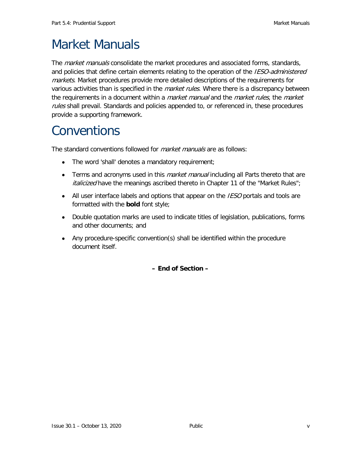# <span id="page-7-0"></span>Market Manuals

The *market manuals* consolidate the market procedures and associated forms, standards, and policies that define certain elements relating to the operation of the *IESO-administered* markets. Market procedures provide more detailed descriptions of the requirements for various activities than is specified in the *market rules*. Where there is a discrepancy between the requirements in a document within a *market manual* and the *market rules*, the market rules shall prevail. Standards and policies appended to, or referenced in, these procedures provide a supporting framework.

# <span id="page-7-1"></span>**Conventions**

The standard conventions followed for *market manuals* are as follows:

- The word 'shall' denotes a mandatory requirement;
- Terms and acronyms used in this *market manual* including all Parts thereto that are *italicized* have the meanings ascribed thereto in Chapter 11 of the "Market Rules";
- All user interface labels and options that appear on the *IESO* portals and tools are formatted with the **bold** font style;
- Double quotation marks are used to indicate titles of legislation, publications, forms and other documents; and
- Any procedure-specific convention(s) shall be identified within the procedure document itself.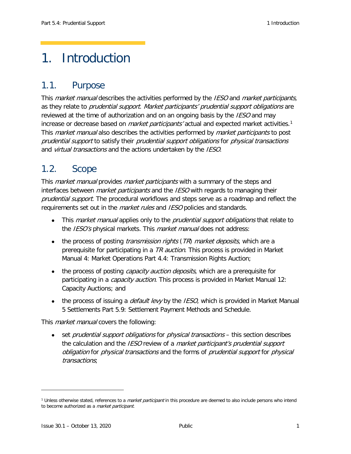# <span id="page-8-0"></span>1. Introduction

# <span id="page-8-1"></span>1.1. Purpose

This *market manual* describes the activities performed by the *IESO* and *market participants*, as they relate to *prudential support. Market participants' prudential support obligations* are reviewed at the time of authorization and on an ongoing basis by the *IESO* and may increase or decrease based on *market participants'* actual and expected market activities.<sup>[1](#page-8-3)</sup> This *market manual* also describes the activities performed by *market participants* to post prudential support to satisfy their prudential support obligations for physical transactions and *virtual transactions* and the actions undertaken by the *IESO*.

# <span id="page-8-2"></span>1.2. Scope

This *market manual* provides *market participants* with a summary of the steps and interfaces between *market participants* and the *IESO* with regards to managing their prudential support. The procedural workflows and steps serve as a roadmap and reflect the requirements set out in the *market rules* and *IESO* policies and standards.

- This *market manual* applies only to the *prudential support obligations* that relate to the IESO's physical markets. This *market manual* does not address:
- the process of posting *transmission rights* ( $TR$ ) *market deposits*, which are a prerequisite for participating in a TR auction. This process is provided in Market [Manual 4: Market Operations Part 4.4: Transmission Rights Auction;](http://www.ieso.ca/-/media/Files/IESO/Document-Library/Market-Rules-and-Manuals-Library/market-manuals/market-operations/mo-TransmissionRights.pdf?la=en)
- the process of posting *capacity auction deposits*, which are a prerequisite for participating in a *capacity auction*. This process is provided in [Market Manual](http://www.ieso.ca/-/media/Files/IESO/Document-Library/Market-Rules-and-Manuals-Library/market-manuals/capacity-auction/Capacity-Auction.pdf?la=en) 12: [Capacity Auctions;](http://www.ieso.ca/-/media/Files/IESO/Document-Library/Market-Rules-and-Manuals-Library/market-manuals/capacity-auction/Capacity-Auction.pdf?la=en) and
- the process of issuing a *default levy* by the *IESO*, which is provided in Market Manual [5 Settlements Part 5.9: Settlement Payment Methods and Schedule.](http://www.ieso.ca/-/media/Files/IESO/Document-Library/Market-Rules-and-Manuals-Library/market-manuals/settlements/se-PaymentMethods.pdf?la=en)

This *market manual* covers the following:

• set *prudential support obligations* for *physical transactions* – this section describes the calculation and the IESO review of a market participant's prudential support obligation for physical transactions and the forms of prudential support for physical transactions;

ł

<span id="page-8-3"></span><sup>&</sup>lt;sup>1</sup> Unless otherwise stated, references to a *market participant* in this procedure are deemed to also include persons who intend to become authorized as a *market participant*.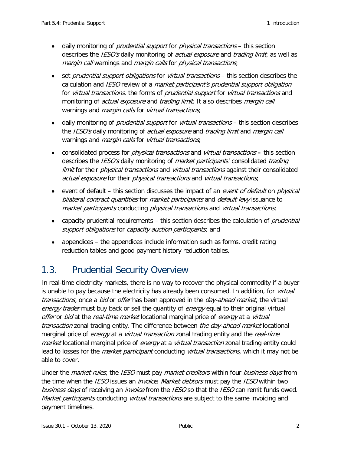- daily monitoring of *prudential support* for *physical transactions* this section describes the *IESO's* daily monitoring of *actual exposure* and *trading limit*, as well as margin call warnings and margin calls for physical transactions;
- set *prudential support obligations* for *virtual transactions* this section describes the calculation and *IESO* review of a *market participant's prudential support obligation* for virtual transactions, the forms of prudential support for virtual transactions and monitoring of *actual exposure* and *trading limit*. It also describes *margin call* warnings and *margin calls* for *virtual transactions*;
- daily monitoring of *prudential support* for *virtual transactions* this section describes the *IESO's* daily monitoring of *actual exposure* and *trading limit* and *margin call* warnings and *margin calls* for *virtual transactions*;
- consolidated process for physical transactions and virtual transactions **–** this section describes the *IESO's* daily monitoring of *market participants'* consolidated *trading* limit for their *physical transactions* and virtual transactions against their consolidated actual exposure for their physical transactions and virtual transactions;
- event of default this section discusses the impact of an event of default on physical bilateral contract quantities for market participants and default levy issuance to market participants conducting physical transactions and virtual transactions;
- capacity prudential requirements this section describes the calculation of *prudential* support obligations for capacity auction participants; and
- appendices the appendices include information such as forms, credit rating reduction tables and good payment history reduction tables.

# <span id="page-9-0"></span>1.3. Prudential Security Overview

In real-time electricity markets, there is no way to recover the physical commodity if a buyer is unable to pay because the electricity has already been consumed. In addition, for virtual transactions, once a bid or offer has been approved in the day-ahead market, the virtual energy trader must buy back or sell the quantity of energy equal to their original virtual offer or bid at the real-time market locational marginal price of energy at a virtual transaction zonal trading entity. The difference between the day-ahead market locational marginal price of *energy* at a *virtual transaction* zonal trading entity and the *real-time* market locational marginal price of energy at a *virtual transaction* zonal trading entity could lead to losses for the *market participant* conducting *virtual transactions*, which it may not be able to cover.

Under the *market rules*, the *IESO* must pay *market creditors* within four *business days* from the time when the IESO issues an *invoice. Market debtors* must pay the IESO within two business days of receiving an *invoice* from the IESO so that the IESO can remit funds owed. Market participants conducting *virtual transactions* are subject to the same invoicing and payment timelines.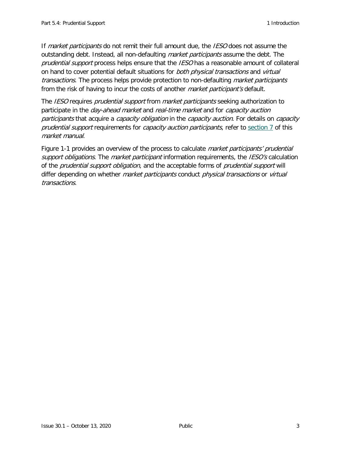If market participants do not remit their full amount due, the IESO does not assume the outstanding debt. Instead, all non-defaulting *market participants* assume the debt. The prudential support process helps ensure that the IESO has a reasonable amount of collateral on hand to cover potential default situations for both physical transactions and virtual transactions. The process helps provide protection to non-defaulting market participants from the risk of having to incur the costs of another *market participant's* default.

The IESO requires *prudential support* from *market participants* seeking authorization to participate in the *day-ahead market* and *real-time market* and for *capacity auction* participants that acquire a capacity obligation in the capacity auction. For details on capacity prudential support requirements for *capacity auction participants*, refer to [section 7](#page-59-1) of this market manual.

[Figure 1-1](#page-11-0) provides an overview of the process to calculate *market participants' prudential* support obligations. The market participant information requirements, the IESO's calculation of the *prudential support obligation*, and the acceptable forms of *prudential support* will differ depending on whether *market participants* conduct *physical transactions* or *virtual* transactions.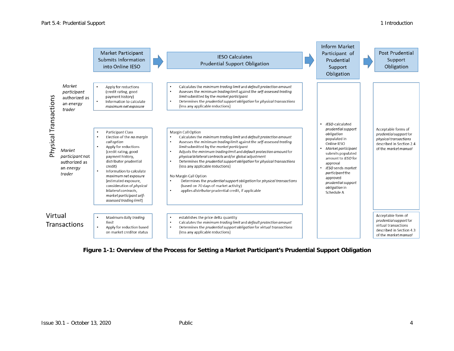|                       |                                                                   | Market Participant<br>Submits Information<br>into Online IESO                                                                                                                                                                                                                                                                                                                                        | <b>IESO Calculates</b><br>Prudential Support Obligation                                                                                                                                                                                                                                                                                                                                                                                                                                                                                                                                                                                                                      | Inform Market<br>Participant of<br>Prudential<br>Support<br>Obligation                                                                                                                                                                                                   | Post Prudential<br>Support<br>Obligation                                                                                   |
|-----------------------|-------------------------------------------------------------------|------------------------------------------------------------------------------------------------------------------------------------------------------------------------------------------------------------------------------------------------------------------------------------------------------------------------------------------------------------------------------------------------------|------------------------------------------------------------------------------------------------------------------------------------------------------------------------------------------------------------------------------------------------------------------------------------------------------------------------------------------------------------------------------------------------------------------------------------------------------------------------------------------------------------------------------------------------------------------------------------------------------------------------------------------------------------------------------|--------------------------------------------------------------------------------------------------------------------------------------------------------------------------------------------------------------------------------------------------------------------------|----------------------------------------------------------------------------------------------------------------------------|
|                       | Market<br>participant<br>authorized as<br>an energy<br>trader     | Apply for reductions<br>$\bullet$<br>(credit rating, good<br>payment history)<br>Information to calculate<br>$\bullet$<br>maximum net exposure                                                                                                                                                                                                                                                       | Calculates the minimum trading limit and default protection amount<br>Assesses the minimum trading limit against the self-assessed trading<br>limit submitted by the market participant<br>Determines the prudential support obligation for physical transactions<br>$\bullet$<br>(less any applicable reductions)                                                                                                                                                                                                                                                                                                                                                           |                                                                                                                                                                                                                                                                          |                                                                                                                            |
| Physical Transactions | Market<br>participant not<br>authorized as<br>an energy<br>trader | Participant Class<br>Election of the no margin<br>$\bullet$<br>call option<br>Apply for reductions<br>$\bullet$<br>(credit rating, good<br>payment history,<br>distributor prudential<br>credit)<br>Information to calculate<br>٠<br>maximum net exposure<br>(estimated exposure,<br>consideration of <i>physical</i><br>bilateral contracts,<br>market participant self-<br>assessed trading limit) | Margin Call Option<br>Calculates the minimum trading limit and default protection amount<br>Assesses the minimum trading limit against the self-assessed trading<br>limit submitted by the market participant<br>Adjusts the minimum trading limit and default protection amount for<br>physical bilateral contracts and/or global adjustment<br>Determines the prudential support obligation for physical transactions<br>$\bullet$<br>(less any applicable reductions)<br>No Margin Call Option<br>Determines the prudential support obligation for physical transactions<br>(based on 70 days of market activity)<br>applies distributor prudential credit, if applicable | IESO-calculated<br>prudential support<br>obligation<br>populated in<br>Online IESO<br>Market participant<br>submits populated<br>amount to IESO for<br>approval<br>IESO sends market<br>participant the<br>approved<br>prudential support<br>obligation in<br>Schedule A | Acceptable forms of<br>prudential support for<br>physical transactions<br>described in Section 2.4<br>of the market manual |
| Virtual               | Transactions                                                      | Maximum daily trading<br>$\bullet$<br>limit<br>Apply for reduction based<br>$\bullet$<br>on market creditor status                                                                                                                                                                                                                                                                                   | establishes the price delta quantity<br>٠<br>Calculates the minimum trading limit and default protection amount<br>$\bullet$<br>Determines the prudential support obligation for virtual transactions<br>(less any applicable reductions)                                                                                                                                                                                                                                                                                                                                                                                                                                    |                                                                                                                                                                                                                                                                          | Acceptable form of<br>prudential support for<br>virtual transactions<br>described in Section 4.3<br>of the market manual   |

#### <span id="page-11-0"></span>**Figure 1-1: Overview of the Process for Setting a Market Participant's Prudential Support Obligation**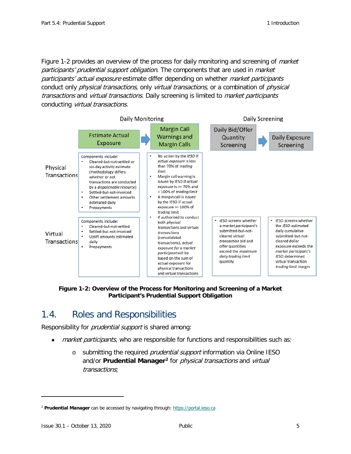[Figure 1-2](#page-12-1) provides an overview of the process for daily monitoring and screening of *market* participants' prudential support obligation. The components that are used in market participants' actual exposure estimate differ depending on whether market participants conduct only *physical transactions*, only *virtual transactions*, or a combination of *physical* transactions and virtual transactions. Daily screening is limited to market participants conducting virtual transactions.



<span id="page-12-1"></span>**Figure 1-2: Overview of the Process for Monitoring and Screening of a Market Participant's Prudential Support Obligation**

## <span id="page-12-0"></span>1.4. Roles and Responsibilities

Responsibility for *prudential support* is shared among:

- market participants, who are responsible for functions and responsibilities such as:
	- o submitting the required *prudential support* information via Online IESO and/or **Prudential Manager[2](#page-12-2)** for physical transactions and virtual transactions;

ł

<span id="page-12-2"></span><sup>2</sup> **Prudential Manager** can be accessed by navigating through: [https://portal.ieso.ca](https://portal.ieso.ca/)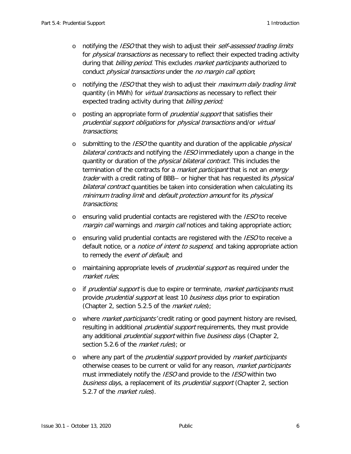- $\circ$  notifying the *IESO* that they wish to adjust their self-assessed trading limits for *physical transactions* as necessary to reflect their expected trading activity during that billing period. This excludes market participants authorized to conduct physical transactions under the no margin call option;
- $\circ$  notifying the *IESO* that they wish to adjust their *maximum daily trading limit* quantity (in MWh) for *virtual transactions* as necessary to reflect their expected trading activity during that *billing period;*
- o posting an appropriate form of *prudential support* that satisfies their prudential support obligations for physical transactions and/or virtual transactions;
- $\circ$  submitting to the *IESO* the quantity and duration of the applicable *physical* bilateral contracts and notifying the IESO immediately upon a change in the quantity or duration of the *physical bilateral contract*. This includes the termination of the contracts for a *market participant* that is not an *energy trader* with a credit rating of BBB– or higher that has requested its *physical* bilateral contract quantities be taken into consideration when calculating its minimum trading limit and default protection amount for its physical transactions;
- $\circ$  ensuring valid prudential contacts are registered with the *IESO* to receive margin call warnings and margin call notices and taking appropriate action;
- $\circ$  ensuring valid prudential contacts are registered with the *IESO* to receive a default notice, or a *notice of intent to suspend*, and taking appropriate action to remedy the event of default; and
- o maintaining appropriate levels of *prudential support* as required under the market rules;
- o if *prudential support* is due to expire or terminate, *market participants* must provide *prudential support* at least 10 *business days* prior to expiration (Chapter 2, section 5.2.5 of the *market rules*);
- o where *market participants'* credit rating or good payment history are revised, resulting in additional *prudential support* requirements, they must provide any additional *prudential support* within five *business day*s (Chapter 2, section 5.2.6 of the *market rules*); or
- $\circ$  where any part of the *prudential support* provided by *market participants* otherwise ceases to be current or valid for any reason, market participants must immediately notify the *IESO* and provide to the *IESO* within two business days, a replacement of its *prudential support* (Chapter 2, section 5.2.7 of the *market rules*).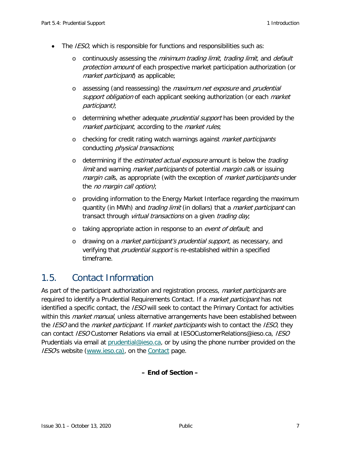- The *IESO*, which is responsible for functions and responsibilities such as:
	- o continuously assessing the *minimum trading limit, trading limit,* and *default* protection amount of each prospective market participation authorization (or market participant) as applicable;
	- o assessing (and reassessing) the maximum net exposure and prudential support obligation of each applicant seeking authorization (or each market participant);
	- o determining whether adequate *prudential support* has been provided by the market participant, according to the market rules;
	- $\circ$  checking for credit rating watch warnings against *market participants* conducting physical transactions;
	- o determining if the *estimated actual exposure* amount is below the *trading limit* and warning *market participants* of potential *margin call*s or issuing margin calls, as appropriate (with the exception of market participants under the no margin call option);
	- o providing information to the Energy Market Interface regarding the maximum quantity (in MWh) and *trading limit* (in dollars) that a *market participant* can transact through *virtual transactions* on a given *trading day*;
	- o taking appropriate action in response to an event of default; and
	- o drawing on a market participant's prudential support, as necessary, and verifying that *prudential support* is re-established within a specified timeframe.

## <span id="page-14-0"></span>1.5. Contact Information

As part of the participant authorization and registration process, *market participants* are required to identify a Prudential Requirements Contact. If a *market participant* has not identified a specific contact, the *IESO* will seek to contact the Primary Contact for activities within this *market manual*, unless alternative arrangements have been established between the IESO and the *market participant*. If *market participants* wish to contact the IESO, they can contact IESO Customer Relations via email at IESOCustomerRelations@ieso.ca, IESO Prudentials via email at [prudential@ieso.ca,](mailto:prudential@ieso.ca) or by using the phone number provided on the IESO's website [\(www.ieso.ca\)](http://www.ieso.ca/), on the [Contact](http://www.ieso.ca/en/Corporate-IESO/Contact) page.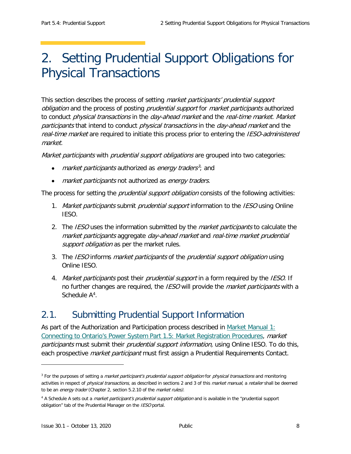# <span id="page-15-0"></span>2. Setting Prudential Support Obligations for Physical Transactions

This section describes the process of setting *market participants' prudential support* obligation and the process of posting *prudential support* for *market participants* authorized to conduct *physical transactions* in the *day-ahead market* and the *real-time market. Market* participants that intend to conduct physical transactions in the day-ahead market and the real-time market are required to initiate this process prior to entering the *IESO-administered* market.

Market participants with prudential support obligations are grouped into two categories:

- *market participants* authorized as *energy traders*<sup>[3](#page-15-2)</sup>; and
- market participants not authorized as energy traders.

The process for setting the *prudential support obligation* consists of the following activities:

- 1. Market participants submit prudential support information to the IESO using Online IESO.
- 2. The IESO uses the information submitted by the *market participants* to calculate the market participants aggregate day-ahead market and real-time market prudential support obligation as per the market rules.
- 3. The IESO informs *market participants* of the *prudential support obligation* using Online IESO.
- 4. Market participants post their prudential support in a form required by the IESO. If no further changes are required, the IESO will provide the *market participants* with a Schedule A<sup>[4](#page-15-3)</sup>.

## <span id="page-15-1"></span>2.1. Submitting Prudential Support Information

As part of the Authorization and Participation process described in Market Manual 1: [Connecting to Ontario's Power System Part 1.5: Market Registration Procedures,](http://www.ieso.ca/-/media/Files/IESO/Document-Library/Market-Rules-and-Manuals-Library/market-manuals/connecting/market-registration.pdf?la=en) market participants must submit their prudential support information, using Online IESO. To do this, each prospective *market participant* must first assign a Prudential Requirements Contact.

ł

<span id="page-15-2"></span><sup>&</sup>lt;sup>3</sup> For the purposes of setting a *market participant's prudential support obligation* for *physical transactions* and monitoring activities in respect of *physical transactions*, as described in sections 2 and 3 of this *market manual*, a retailer shall be deemed to be an energy trader (Chapter 2, section 5.2.10 of the market rules).

<span id="page-15-3"></span><sup>&</sup>lt;sup>4</sup> A Schedule A sets out a *market participant's prudential support obligation* and is available in the "prudential support obligation" tab of the Prudential Manager on the IESO portal.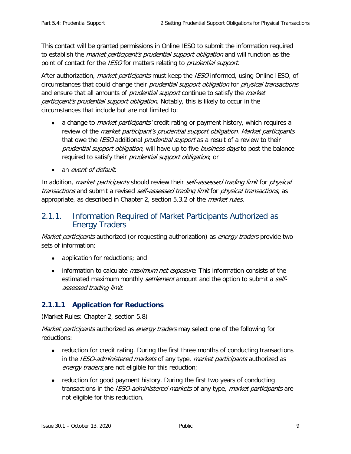This contact will be granted permissions in Online IESO to submit the information required to establish the *market participant's prudential support obligation* and will function as the point of contact for the IESO for matters relating to *prudential support*.

After authorization, *market participants* must keep the *IESO* informed, using Online IESO, of circumstances that could change their *prudential support obligation* for *physical transactions* and ensure that all amounts of *prudential support* continue to satisfy the *market* participant's prudential support obligation. Notably, this is likely to occur in the circumstances that include but are not limited to:

- a change to *market participants'* credit rating or payment history, which requires a review of the *market participant's prudential support obligation. Market participants* that owe the *IESO* additional *prudential support* as a result of a review to their prudential support obligation, will have up to five business days to post the balance required to satisfy their prudential support obligation; or
- an *event of default*.

In addition, market participants should review their self-assessed trading limit for physical transactions and submit a revised self-assessed trading limit for physical transactions, as appropriate, as described in Chapter 2, section 5.3.2 of the *market rules*.

### <span id="page-16-0"></span>2.1.1. Information Required of Market Participants Authorized as Energy Traders

Market participants authorized (or requesting authorization) as energy traders provide two sets of information:

- application for reductions; and
- information to calculate *maximum net exposure*. This information consists of the estimated maximum monthly *settlement* amount and the option to submit a *self*assessed trading limit.

### **2.1.1.1 Application for Reductions**

(Market Rules: Chapter 2, section 5.8)

*Market participants* authorized as *energy traders* may select one of the following for reductions:

- reduction for credit rating. During the first three months of conducting transactions in the IESO-administered markets of any type, market participants authorized as energy traders are not eligible for this reduction;
- reduction for good payment history. During the first two years of conducting transactions in the *IESO-administered markets* of any type, *market participants* are not eligible for this reduction.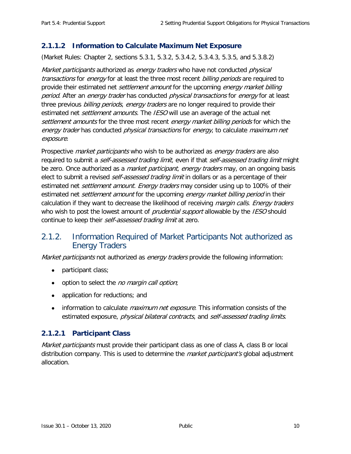### **2.1.1.2 Information to Calculate Maximum Net Exposure**

(Market Rules: Chapter 2, sections 5.3.1, 5.3.2, 5.3.4.2, 5.3.4.3, 5.3.5, and 5.3.8.2)

Market participants authorized as energy traders who have not conducted physical transactions for energy for at least the three most recent billing periods are required to provide their estimated net *settlement amount* for the upcoming *energy market billing* period. After an energy trader has conducted physical transactions for energy for at least three previous billing periods, energy traders are no longer required to provide their estimated net *settlement amounts*. The IESO will use an average of the actual net settlement amounts for the three most recent energy market billing periods for which the energy trader has conducted *physical transactions* for energy, to calculate *maximum net* exposure.

Prospective *market participants* who wish to be authorized as *energy traders* are also required to submit a *self-assessed trading limit*, even if that *self-assessed trading limit* might be zero. Once authorized as a *market participant, energy traders* may, on an ongoing basis elect to submit a revised *self-assessed trading limit* in dollars or as a percentage of their estimated net *settlement amount. Energy traders* may consider using up to 100% of their estimated net *settlement amount* for the upcoming *energy market billing period* in their calculation if they want to decrease the likelihood of receiving *margin calls. Energy traders* who wish to post the lowest amount of *prudential support* allowable by the *IESO* should continue to keep their self-assessed trading limit at zero.

### <span id="page-17-0"></span>2.1.2. Information Required of Market Participants Not authorized as Energy Traders

Market participants not authorized as energy traders provide the following information:

- participant class;
- option to select the *no margin call option*;
- application for reductions; and
- information to calculate *maximum net exposure*. This information consists of the estimated exposure, *physical bilateral contracts*, and *self-assessed trading limits*.

### **2.1.2.1 Participant Class**

Market participants must provide their participant class as one of class A, class B or local distribution company. This is used to determine the *market participant's* global adjustment allocation.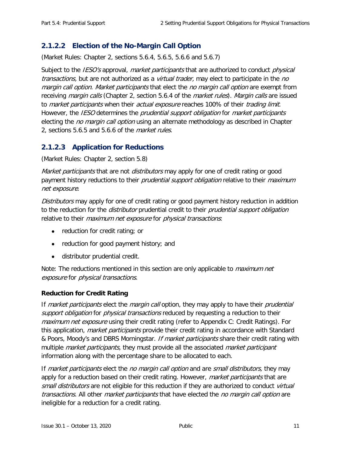### **2.1.2.2 Election of the No-Margin Call Option**

(Market Rules: Chapter 2, sections 5.6.4, 5.6.5, 5.6.6 and 5.6.7)

Subject to the *IESO's* approval, *market participants* that are authorized to conduct *physical* transactions, but are not authorized as a *virtual trader*, may elect to participate in the no margin call option. Market participants that elect the no margin call option are exempt from receiving *margin calls* (Chapter 2, section 5.6.4 of the *market rules). Margin calls* are issued to *market participants* when their *actual exposure* reaches 100% of their *trading limit.* However, the IESO determines the prudential support obligation for market participants electing the *no margin call option* using an alternate methodology as described in Chapter 2, sections 5.6.5 and 5.6.6 of the *market rules*.

### **2.1.2.3 Application for Reductions**

(Market Rules: Chapter 2, section 5.8)

Market participants that are not *distributors* may apply for one of credit rating or good payment history reductions to their *prudential support obligation* relative to their *maximum* net exposure.

Distributors may apply for one of credit rating or good payment history reduction in addition to the reduction for the *distributor* prudential credit to their *prudential support obligation* relative to their *maximum net exposure* for *physical transactions*:

- reduction for credit rating; or
- reduction for good payment history; and
- distributor prudential credit.

Note: The reductions mentioned in this section are only applicable to *maximum net* exposure for physical transactions.

#### **Reduction for Credit Rating**

If market participants elect the margin call option, they may apply to have their prudential support obligation for physical transactions reduced by requesting a reduction to their maximum net exposure using their credit rating (refer to [Appendix C: Credit Ratings\)](#page-64-1). For this application, *market participants* provide their credit rating in accordance with Standard & Poors, Moody's and DBRS Morningstar. *If market participants* share their credit rating with multiple *market participants*, they must provide all the associated *market participant* information along with the percentage share to be allocated to each.

If market participants elect the no margin call option and are small distributors, they may apply for a reduction based on their credit rating. However, *market participants* that are small distributors are not eligible for this reduction if they are authorized to conduct virtual transactions. All other market participants that have elected the no margin call option are ineligible for a reduction for a credit rating.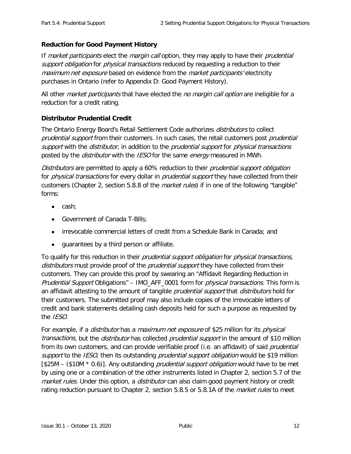#### **Reduction for Good Payment History**

If *market participants* elect the *margin call* option, they may apply to have their *prudential* support obligation for physical transactions reduced by requesting a reduction to their maximum net exposure based on evidence from the market participants' electricity purchases in Ontario (refer to [Appendix D: Good Payment History\)](#page-65-0).

All other market participants that have elected the no margin call option are ineligible for a reduction for a credit rating.

#### **Distributor Prudential Credit**

The Ontario Energy Board's Retail Settlement Code authorizes *distributors* to collect prudential support from their customers. In such cases, the retail customers post prudential support with the *distributor*, in addition to the *prudential support* for *physical transactions* posted by the *distributor* with the *IESO* for the same *energy* measured in MWh.

Distributors are permitted to apply a 60% reduction to their *prudential support obligation* for *physical transactions* for every dollar in *prudential support* they have collected from their customers (Chapter 2, section 5.8.8 of the *market rules*) if in one of the following "tangible" forms:

- cash;
- Government of Canada T-Bills;
- irrevocable commercial letters of credit from a Schedule Bank in Canada; and
- guarantees by a third person or affiliate.

To qualify for this reduction in their *prudential support obligation* for *physical transactions*, distributors must provide proof of the *prudential support* they have collected from their customers. They can provide this proof by swearing an "Affidavit Regarding Reduction in Prudential Support Obligations" – IMO\_AFF\_0001 form for physical transactions. This form is an affidavit attesting to the amount of tangible *prudential support* that *distributors* hold for their customers. The submitted proof may also include copies of the irrevocable letters of credit and bank statements detailing cash deposits held for such a purpose as requested by the IESO.

For example, if a *distributor* has a *maximum net exposure* of \$25 million for its *physical* transactions, but the *distributor* has collected *prudential support* in the amount of \$10 million from its own customers, and can provide verifiable proof (i.e. an affidavit) of said *prudential* support to the IESO, then its outstanding prudential support obligation would be \$19 million  $[$25M - ($10M * 0.6)]$ . Any outstanding *prudential support obligation* would have to be met by using one or a combination of the other instruments listed in Chapter 2, section 5.7 of the market rules. Under this option, a distributor can also claim good payment history or credit rating reduction pursuant to Chapter 2, section 5.8.5 or 5.8.1A of the *market rules* to meet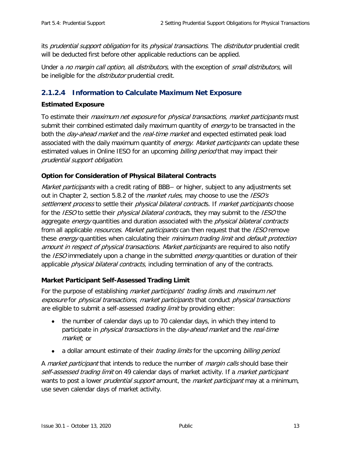its prudential support obligation for its physical transactions. The distributor prudential credit will be deducted first before other applicable reductions can be applied.

Under a no margin call option, all distributors, with the exception of small distributors, will be ineligible for the *distributor* prudential credit.

### <span id="page-20-0"></span>**2.1.2.4 Information to Calculate Maximum Net Exposure**

#### **Estimated Exposure**

To estimate their *maximum net exposure* for *physical transactions, market participants* must submit their combined estimated daily maximum quantity of *energy* to be transacted in the both the *day-ahead market* and the *real-time market* and expected estimated peak load associated with the daily maximum quantity of *energy. Market participants* can update these estimated values in Online IESO for an upcoming billing period that may impact their prudential support obligation.

#### **Option for Consideration of Physical Bilateral Contracts**

Market participants with a credit rating of BBB– or higher, subject to any adjustments set out in Chapter 2, section 5.8.2 of the *market rules*, may choose to use the IESO's settlement process to settle their physical bilateral contracts. If market participants choose for the *IESO* to settle their *physical bilateral contract*s, they may submit to the *IESO* the aggregate *energy* quantities and duration associated with the *physical bilateral contracts* from all applicable resources. Market participants can then request that the IESO remove these energy quantities when calculating their minimum trading limit and default protection amount in respect of physical transactions. Market participants are required to also notify the *IESO* immediately upon a change in the submitted *energy* quantities or duration of their applicable *physical bilateral contracts*, including termination of any of the contracts.

#### **Market Participant Self-Assessed Trading Limit**

For the purpose of establishing *market participants' trading limits* and *maximum net* exposure for physical transactions, market participants that conduct physical transactions are eligible to submit a self-assessed *trading limit* by providing either:

- the number of calendar days up to 70 calendar days, in which they intend to participate in *physical transactions* in the *day-ahead market* and the *real-time* market; or
- a dollar amount estimate of their *trading limits* for the upcoming *billing period.*

A *market participant* that intends to reduce the number of *margin calls* should base their self-assessed trading limit on 49 calendar days of market activity. If a *market participant* wants to post a lower *prudential support* amount, the *market participant* may at a minimum, use seven calendar days of market activity.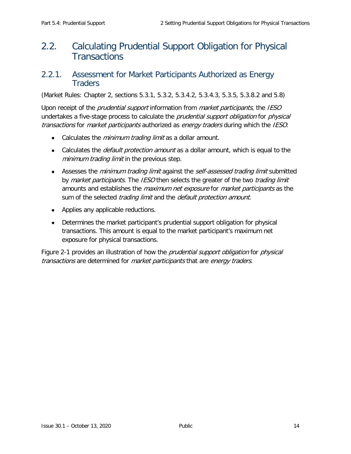# <span id="page-21-0"></span>2.2. Calculating Prudential Support Obligation for Physical **Transactions**

### <span id="page-21-1"></span>2.2.1. Assessment for Market Participants Authorized as Energy **Traders**

(Market Rules: Chapter 2, sections 5.3.1, 5.3.2, 5.3.4.2, 5.3.4.3, 5.3.5, 5.3.8.2 and 5.8)

Upon receipt of the *prudential support* information from *market participants*, the *IESO* undertakes a five-stage process to calculate the *prudential support obligation* for *physical* transactions for market participants authorized as energy traders during which the IESO:

- Calculates the *minimum trading limit* as a dollar amount.
- Calculates the *default protection amount* as a dollar amount, which is equal to the minimum trading limit in the previous step.
- Assesses the *minimum trading limit* against the *self-assessed trading limit* submitted by market participants. The IESO then selects the greater of the two trading limit amounts and establishes the *maximum net exposure* for *market participants* as the sum of the selected *trading limit* and the *default protection amount*.
- Applies any applicable reductions.
- Determines the market participant's prudential support obligation for physical transactions. This amount is equal to the market participant's maximum net exposure for physical transactions.

[Figure 2-1](#page-22-0) provides an illustration of how the *prudential support obligation* for *physical* transactions are determined for market participants that are energy traders.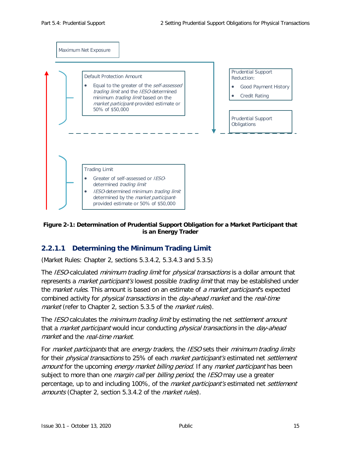

#### <span id="page-22-0"></span>**Figure 2-1: Determination of Prudential Support Obligation for a Market Participant that is an Energy Trader**

### **2.2.1.1 Determining the Minimum Trading Limit**

(Market Rules: Chapter 2, sections 5.3.4.2, 5.3.4.3 and 5.3.5)

The IESO-calculated minimum trading limit for physical transactions is a dollar amount that represents a *market participant's* lowest possible *trading limit* that may be established under the *market rules*. This amount is based on an estimate of a market participant's expected combined activity for *physical transactions* in the *day-ahead market* and the *real-time* market (refer to Chapter 2, section 5.3.5 of the *market rules*).

The IESO calculates the minimum trading limit by estimating the net settlement amount that a *market participant* would incur conducting *physical transactions* in the *day-ahead* market and the real-time market.

For *market participants* that are *energy traders*, the *IESO* sets their *minimum trading limits* for their *physical transactions* to 25% of each *market participant's* estimated net *settlement* amount for the upcoming *energy market billing period*. If any *market participant* has been subject to more than one *margin call* per *billing period*, the IESO may use a greater percentage, up to and including 100%, of the *market participant's* estimated net *settlement* amounts (Chapter 2, section 5.3.4.2 of the market rules).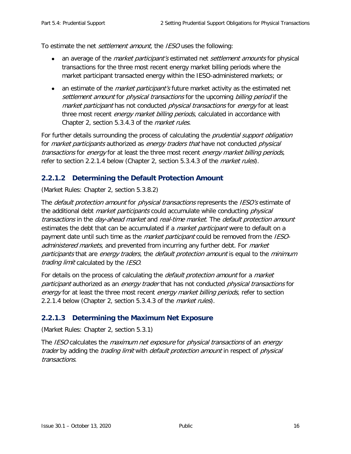To estimate the net *settlement amount*, the *IESO* uses the following:

- an average of the *market participant's* estimated net *settlement amounts* for physical transactions for the three most recent energy market billing periods where the market participant transacted energy within the IESO-administered markets; or
- an estimate of the *market participant's* future market activity as the estimated net settlement amount for *physical transactions* for the upcoming *billing period* if the market participant has not conducted *physical transactions* for *energy* for at least three most recent *energy market billing periods*, calculated in accordance with Chapter 2, section 5.3.4.3 of the *market rules*.

For further details surrounding the process of calculating the *prudential support obligation* for *market participants* authorized as *energy traders that* have not conducted *physical* transactions for energy for at least the three most recent energy market billing periods, refer to section 2.2.1.4 below (Chapter 2, section 5.3.4.3 of the *market rules*).

### **2.2.1.2 Determining the Default Protection Amount**

(Market Rules: Chapter 2, section 5.3.8.2)

The *default protection amount* for *physical transactions* represents the *IESO's* estimate of the additional debt *market participants* could accumulate while conducting *physical* transactions in the day-ahead market and real-time market. The default protection amount estimates the debt that can be accumulated if a *market participant* were to default on a payment date until such time as the *market participant* could be removed from the *IESO*administered markets, and prevented from incurring any further debt. For market participants that are energy traders, the default protection amount is equal to the minimum trading limit calculated by the IESO.

For details on the process of calculating the *default protection amount* for a *market* participant authorized as an energy trader that has not conducted physical transactions for energy for at least the three most recent energy market billing periods, refer to section 2.2.1.4 below (Chapter 2, section 5.3.4.3 of the *market rules*).

### **2.2.1.3 Determining the Maximum Net Exposure**

(Market Rules: Chapter 2, section 5.3.1)

The IESO calculates the *maximum net exposure* for *physical transactions* of an *energy* trader by adding the *trading limit* with *default protection amount* in respect of *physical* transactions.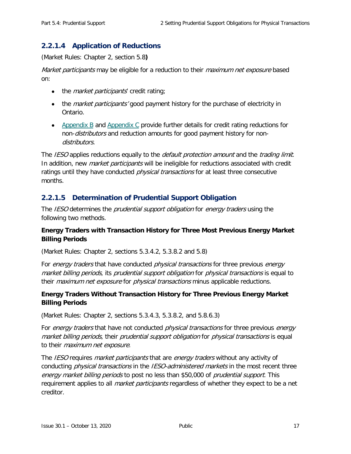### **2.2.1.4 Application of Reductions**

(Market Rules: Chapter 2, section 5.8**)**

Market participants may be eligible for a reduction to their *maximum net exposure* based on:

- the *market participants'* credit rating;
- the *market participants'* good payment history for the purchase of electricity in Ontario.
- [Appendix B](#page-63-1) and [Appendix C](#page-64-1) provide further details for credit rating reductions for non-*distributors* and reduction amounts for good payment history for nondistributors.

The IESO applies reductions equally to the *default protection amount* and the *trading limit.* In addition, new *market participants* will be ineligible for reductions associated with credit ratings until they have conducted *physical transactions* for at least three consecutive months.

### **2.2.1.5 Determination of Prudential Support Obligation**

The IESO determines the prudential support obligation for energy traders using the following two methods.

#### **Energy Traders with Transaction History for Three Most Previous Energy Market Billing Periods**

(Market Rules: Chapter 2, sections 5.3.4.2, 5.3.8.2 and 5.8)

For energy traders that have conducted physical transactions for three previous energy market billing periods, its prudential support obligation for physical transactions is equal to their *maximum net exposure* for *physical transactions* minus applicable reductions.

#### **Energy Traders Without Transaction History for Three Previous Energy Market Billing Periods**

(Market Rules: Chapter 2, sections 5.3.4.3, 5.3.8.2, and 5.8.6.3)

For energy traders that have not conducted physical transactions for three previous energy market billing periods, their prudential support obligation for physical transactions is equal to their *maximum net exposure*.

The *IESO* requires *market participants* that are *energy traders* without any activity of conducting *physical transactions* in the *IESO-administered markets* in the most recent three energy market billing periods to post no less than \$50,000 of prudential support. This requirement applies to all *market participants* regardless of whether they expect to be a net creditor.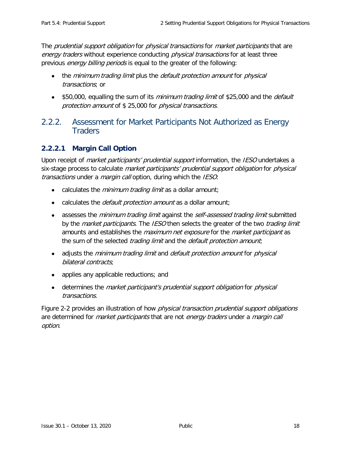The *prudential support obligation* for *physical transactions* for *market participants* that are energy traders without experience conducting *physical transactions* for at least three previous energy billing periods is equal to the greater of the following:

- the minimum trading limit plus the *default protection amount* for *physical* transactions; or
- \$50,000, equalling the sum of its *minimum trading limit* of \$25,000 and the *default* protection amount of \$ 25,000 for physical transactions.

## <span id="page-25-0"></span>2.2.2. Assessment for Market Participants Not Authorized as Energy **Traders**

### **2.2.2.1 Margin Call Option**

Upon receipt of *market participants' prudential support* information, the *IESO* undertakes a six-stage process to calculate *market participants' prudential support obligation* for *physical* transactions under a *margin call* option, during which the IESO:

- calculates the *minimum trading limit* as a dollar amount;
- calculates the *default protection amount* as a dollar amount;
- assesses the *minimum trading limit* against the *self-assessed trading limit* submitted by the *market participants*. The IESO then selects the greater of the two *trading limit* amounts and establishes the *maximum net exposure* for the *market participant* as the sum of the selected *trading limit* and the *default protection amount*;
- adjusts the *minimum trading limit* and *default protection amount* for *physical* bilateral contracts;
- applies any applicable reductions; and
- determines the *market participant's prudential support obligation* for *physical* transactions.

Figure 2-2 provides an illustration of how *physical transaction prudential support obligations* are determined for *market participants* that are not *energy traders* under a *margin call* option.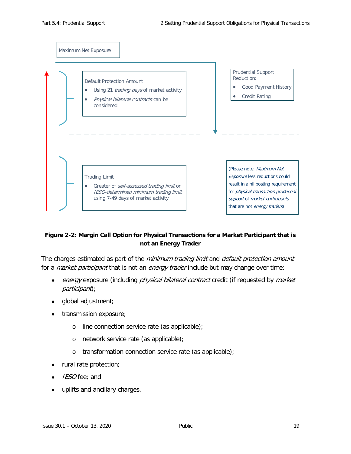

#### <span id="page-26-0"></span>**Figure 2-2: Margin Call Option for Physical Transactions for a Market Participant that is not an Energy Trader**

The charges estimated as part of the *minimum trading limit* and *default protection amount* for a *market participant* that is not an *energy trader* include but may change over time:

- energy exposure (including physical bilateral contract credit (if requested by market participant);
- global adjustment;
- transmission exposure;
	- o line connection service rate (as applicable);
	- o network service rate (as applicable);
	- o transformation connection service rate (as applicable);
- rural rate protection;
- IESO fee; and
- uplifts and ancillary charges.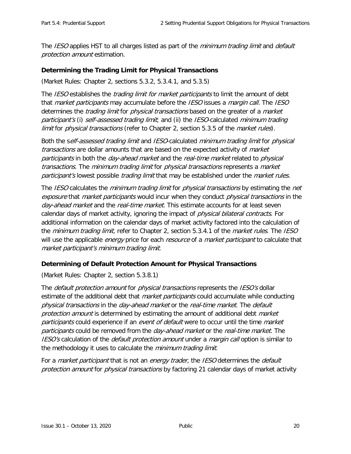The IESO applies HST to all charges listed as part of the *minimum trading limit* and *default* protection amount estimation.

#### **Determining the Trading Limit for Physical Transactions**

(Market Rules: Chapter 2, sections 5.3.2, 5.3.4.1, and 5.3.5)

The IESO establishes the trading limit for market participants to limit the amount of debt that *market participants* may accumulate before the *IESO* issues a *margin call.* The *IESO* determines the *trading limit* for *physical transactions* based on the greater of a *market* participant's (i) self-assessed trading limit, and (ii) the IESO-calculated minimum trading limit for *physical transactions* (refer to Chapter 2, section 5.3.5 of the *market rules*).

Both the self-assessed trading limit and IESO-calculated minimum trading limit for physical transactions are dollar amounts that are based on the expected activity of *market* participants in both the *day-ahead market* and the *real-time market* related to *physical* transactions. The minimum trading limit for physical transactions represents a market participant's lowest possible *trading limit* that may be established under the *market rules*.

The IESO calculates the *minimum trading limit* for *physical transactions* by estimating the *net* exposure that *market participants* would incur when they conduct *physical transactions* in the day-ahead market and the real-time market. This estimate accounts for at least seven calendar days of market activity, ignoring the impact of *physical bilateral contracts*. For additional information on the calendar days of market activity factored into the calculation of the *minimum trading limit*, refer to Chapter 2, section 5.3.4.1 of the *market rules*. The *IESO* will use the applicable *energy* price for each *resource* of a *market participant* to calculate that market participant's minimum trading limit.

#### **Determining of Default Protection Amount for Physical Transactions**

(Market Rules: Chapter 2, section 5.3.8.1)

The *default protection amount* for *physical transactions* represents the *IESO's* dollar estimate of the additional debt that *market participants* could accumulate while conducting physical transactions in the day-ahead market or the real-time market. The default protection amount is determined by estimating the amount of additional debt market participants could experience if an event of default were to occur until the time market participants could be removed from the *day-ahead market* or the *real-time market*. The IESO's calculation of the *default protection amount* under a *margin call* option is similar to the methodology it uses to calculate the *minimum trading limit*.

For a *market participant* that is not an *energy trader*, the *IESO* determines the *default* protection amount for physical transactions by factoring 21 calendar days of market activity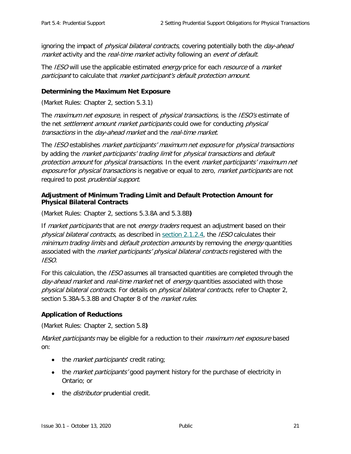ignoring the impact of *physical bilateral contracts*, covering potentially both the *day-ahead* market activity and the real-time market activity following an event of default.

The IESO will use the applicable estimated *energy* price for each *resource* of a *market* participant to calculate that market participant's default protection amount.

#### **Determining the Maximum Net Exposure**

(Market Rules: Chapter 2, section 5.3.1)

The *maximum net exposure*, in respect of *physical transactions*, is the *IESO's* estimate of the net *settlement amount market participants* could owe for conducting *physical* transactions in the day-ahead market and the real-time market.

The IESO establishes market participants' maximum net exposure for physical transactions by adding the *market participants' trading limit* for *physical transactions* and *default* protection amount for physical transactions. In the event market participants' maximum net exposure for *physical transactions* is negative or equal to zero, *market participants* are not required to post prudential support.

#### **Adjustment of Minimum Trading Limit and Default Protection Amount for Physical Bilateral Contracts**

(Market Rules: Chapter 2, sections 5.3.8A and 5.3.8B**)**

If *market participants* that are not *energy traders* request an adjustment based on their physical bilateral contracts, as described in [section 2.1.2.4,](#page-20-0) the IESO calculates their minimum trading limits and *default protection amounts* by removing the *energy* quantities associated with the *market participants' physical bilateral contracts* registered with the IESO.

For this calculation, the *IESO* assumes all transacted quantities are completed through the day-ahead market and real-time market net of energy quantities associated with those physical bilateral contracts. For details on physical bilateral contracts, refer to Chapter 2, section 5.38A-5.3.8B and Chapter 8 of the *market rules*.

### **Application of Reductions**

(Market Rules: Chapter 2, section 5.8**)**

Market participants may be eligible for a reduction to their *maximum net exposure* based on:

- the *market participants'* credit rating;
- the *market participants'* good payment history for the purchase of electricity in Ontario; or
- the *distributor* prudential credit.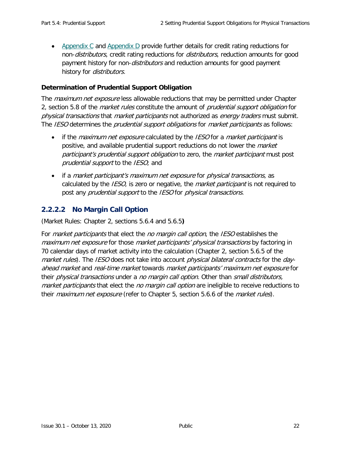• [Appendix C](#page-64-1) and [Appendix D](#page-65-0) provide further details for credit rating reductions for non-*distributors*, credit rating reductions for *distributors*, reduction amounts for good payment history for non-*distributors* and reduction amounts for good payment history for *distributors*.

#### **Determination of Prudential Support Obligation**

The *maximum net exposure* less allowable reductions that may be permitted under Chapter 2, section 5.8 of the *market rules* constitute the amount of *prudential support obligation* for physical transactions that market participants not authorized as energy traders must submit. The IESO determines the *prudential support obligations* for *market participants* as follows:

- if the *maximum net exposure* calculated by the *IESO* for a *market participant* is positive, and available prudential support reductions do not lower the *market* participant's prudential support obligation to zero, the market participant must post prudential support to the IESO; and
- if a *market participant's maximum net exposure* for *physical transactions*, as calculated by the *IESO*, is zero or negative, the *market participant* is not required to post any *prudential support* to the *IESO* for *physical transactions*.

### **2.2.2.2 No Margin Call Option**

(Market Rules: Chapter 2, sections 5.6.4 and 5.6.5**)**

For *market participants* that elect the *no margin call option*, the IESO establishes the maximum net exposure for those market participants' physical transactions by factoring in 70 calendar days of market activity into the calculation (Chapter 2, section 5.6.5 of the market rules). The IESO does not take into account *physical bilateral contracts* for the *day*ahead market and real-time market towards market participants' maximum net exposure for their *physical transactions* under a no margin call option. Other than small distributors, market participants that elect the no margin call option are ineligible to receive reductions to their *maximum net exposure* (refer to Chapter 5, section 5.6.6 of the *market rules*).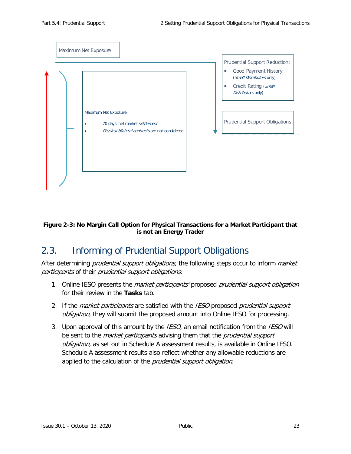

#### <span id="page-30-1"></span>**Figure 2-3: No Margin Call Option for Physical Transactions for a Market Participant that is not an Energy Trader**

# <span id="page-30-0"></span>2.3. Informing of Prudential Support Obligations

After determining *prudential support obligations*, the following steps occur to inform *market* participants of their prudential support obligations:

- 1. Online IESO presents the *market participants'* proposed *prudential support obligation* for their review in the **Tasks** tab.
- 2. If the market participants are satisfied with the IESO-proposed prudential support obligation, they will submit the proposed amount into Online IESO for processing.
- 3. Upon approval of this amount by the *IESO*, an email notification from the *IESO* will be sent to the *market participants* advising them that the *prudential support* obligation, as set out in Schedule A assessment results, is available in Online IESO. Schedule A assessment results also reflect whether any allowable reductions are applied to the calculation of the *prudential support obligation*.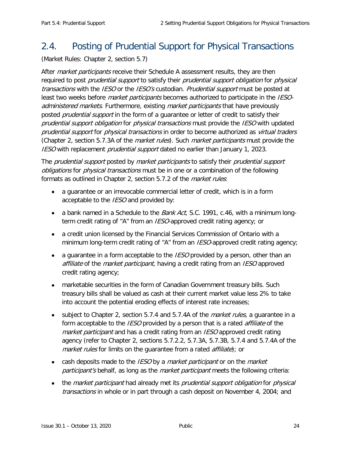# <span id="page-31-0"></span>2.4. Posting of Prudential Support for Physical Transactions

(Market Rules: Chapter 2, section 5.7)

After *market participants* receive their Schedule A assessment results, they are then required to post *prudential support* to satisfy their *prudential support obligation* for *physical* transactions with the IESO or the IESO's custodian. Prudential support must be posted at least two weeks before *market participants* becomes authorized to participate in the IESOadministered markets. Furthermore, existing market participants that have previously posted *prudential support* in the form of a quarantee or letter of credit to satisfy their prudential support obligation for physical transactions must provide the IESO with updated prudential support for physical transactions in order to become authorized as virtual traders (Chapter 2, section 5.7.3A of the *market rules*). Such *market participants* must provide the **IESO** with replacement *prudential support* dated no earlier than January 1, 2023.

The *prudential support* posted by *market participants* to satisfy their *prudential support* obligations for physical transactions must be in one or a combination of the following formats as outlined in Chapter 2, section 5.7.2 of the *market rules*:

- a guarantee or an irrevocable commercial letter of credit, which is in a form acceptable to the *IESO* and provided by:
- a bank named in a Schedule to the *Bank Act*, S.C. 1991, c.46, with a minimum longterm credit rating of "A" from an *IESO*-approved credit rating agency; or
- a credit union licensed by the Financial Services Commission of Ontario with a minimum long-term credit rating of "A" from an *IESO*-approved credit rating agency;
- a guarantee in a form acceptable to the IESO provided by a person, other than an affiliate of the *market participant*, having a credit rating from an *IESO* approved credit rating agency;
- marketable securities in the form of Canadian Government treasury bills. Such treasury bills shall be valued as cash at their current market value less 2% to take into account the potential eroding effects of interest rate increases;
- subject to Chapter 2, section 5.7.4 and 5.7.4A of the *market rules*, a quarantee in a form acceptable to the *IESO* provided by a person that is a rated *affiliate* of the market participant and has a credit rating from an IESO approved credit rating agency (refer to Chapter 2, sections 5.7.2.2, 5.7.3A, 5.7.3B, 5.7.4 and 5.7.4A of the market rules for limits on the quarantee from a rated affiliate); or
- cash deposits made to the *IESO* by a *market participant* or on the *market* participant's behalf, as long as the *market participant* meets the following criteria:
- the market participant had already met its prudential support obligation for physical transactions in whole or in part through a cash deposit on November 4, 2004; and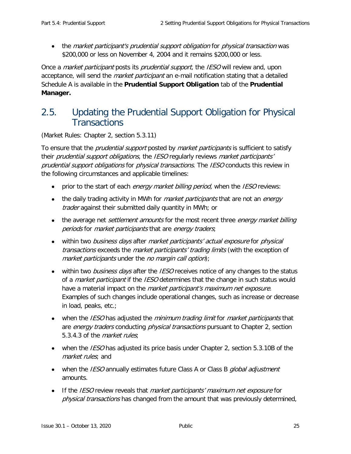• the market participant's prudential support obligation for physical transaction was \$200,000 or less on November 4, 2004 and it remains \$200,000 or less.

Once a *market participant* posts its *prudential support*, the *IESO* will review and, upon acceptance, will send the *market participant* an e-mail notification stating that a detailed Schedule A is available in the **Prudential Support Obligation** tab of the **Prudential Manager.**

# <span id="page-32-0"></span>2.5. Updating the Prudential Support Obligation for Physical **Transactions**

(Market Rules: Chapter 2, section 5.3.11)

To ensure that the *prudential support* posted by *market participants* is sufficient to satisfy their *prudential support obligations*, the *IESO* regularly reviews *market participants'* prudential support obligations for physical transactions. The IESO conducts this review in the following circumstances and applicable timelines:

- prior to the start of each energy market billing period, when the IESO reviews:
- the daily trading activity in MWh for *market participants* that are not an *energy* trader against their submitted daily quantity in MWh; or
- the average net *settlement amounts* for the most recent three *energy market billing* periods for market participants that are energy traders;
- within two *business days* after *market participants' actual exposure* for *physical* transactions exceeds the *market participants' trading limits* (with the exception of market participants under the no margin call option);
- within two business days after the IESO receives notice of any changes to the status of a *market participant* if the *IESO* determines that the change in such status would have a material impact on the *market participant's maximum net exposure.* Examples of such changes include operational changes, such as increase or decrease in load, peaks, etc.;
- when the IESO has adjusted the minimum trading limit for market participants that are *energy traders* conducting *physical transactions* pursuant to Chapter 2, section 5.3.4.3 of the market rules;
- when the *IESO* has adjusted its price basis under Chapter 2, section 5.3.10B of the market rules; and
- when the *IESO* annually estimates future Class A or Class B *qlobal adjustment* amounts.
- If the IESO review reveals that market participants' maximum net exposure for physical transactions has changed from the amount that was previously determined,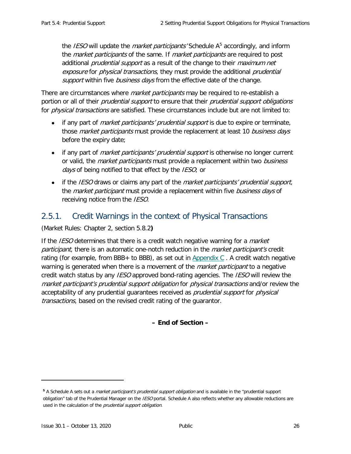the *IESO* will update the *market participants'* Schedule  $A<sup>5</sup>$  $A<sup>5</sup>$  $A<sup>5</sup>$  accordingly, and inform the *market participants* of the same. If *market participants* are required to post additional *prudential support* as a result of the change to their *maximum net* exposure for physical transactions, they must provide the additional prudential support within five business days from the effective date of the change.

There are circumstances where *market participants* may be required to re-establish a portion or all of their *prudential support* to ensure that their *prudential support obligations* for *physical transactions* are satisfied. These circumstances include but are not limited to:

- if any part of *market participants' prudential support* is due to expire or terminate, those *market participants* must provide the replacement at least 10 business days before the expiry date;
- if any part of *market participants' prudential support* is otherwise no longer current or valid, the *market participants* must provide a replacement within two *business* days of being notified to that effect by the IESO; or
- if the *IESO* draws or claims any part of the *market participants' prudential support*, the *market participant* must provide a replacement within five *business days* of receiving notice from the IESO.

## <span id="page-33-0"></span>2.5.1. Credit Warnings in the context of Physical Transactions

(Market Rules: Chapter 2, section 5.8.2**)**

If the *IESO* determines that there is a credit watch negative warning for a *market* participant, there is an automatic one-notch reduction in the market participant's credit rating (for example, from BBB+ to BBB), as set out in Appendix  $C$ . A credit watch negative warning is generated when there is a movement of the *market participant* to a negative credit watch status by any *IESO* approved bond-rating agencies. The *IESO* will review the market participant's prudential support obligation for physical transactions and/or review the acceptability of any prudential quarantees received as *prudential support* for *physical* transactions, based on the revised credit rating of the guarantor.

### **– End of Section –**

ł

<span id="page-33-1"></span>**<sup>5</sup>** A Schedule A sets out a market participant's prudential support obligation and is available in the "prudential support obligation" tab of the Prudential Manager on the IESO portal. Schedule A also reflects whether any allowable reductions are used in the calculation of the *prudential support obligation*.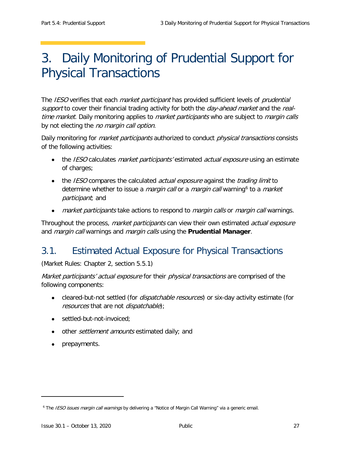# <span id="page-34-0"></span>3. Daily Monitoring of Prudential Support for Physical Transactions

The IESO verifies that each *market participant* has provided sufficient levels of *prudential* support to cover their financial trading activity for both the *day-ahead market* and the *real*time market. Daily monitoring applies to *market participants* who are subject to *margin calls* by not electing the *no margin call option*.

Daily monitoring for *market participants* authorized to conduct *physical transactions* consists of the following activities:

- the *IESO* calculates *market participants'* estimated *actual exposure* using an estimate of charges;
- the *IESO* compares the calculated *actual exposure* against the *trading limit* to determine whether to issue a *margin call* or a *margin call* warning<sup>[6](#page-34-2)</sup> to a *market* participant; and
- market participants take actions to respond to margin calls or margin call warnings.

Throughout the process, *market participants* can view their own estimated *actual exposure* and margin call warnings and margin calls using the **Prudential Manager**.

## <span id="page-34-1"></span>3.1. Estimated Actual Exposure for Physical Transactions

(Market Rules: Chapter 2, section 5.5.1)

Market participants' actual exposure for their physical transactions are comprised of the following components:

- cleared-but-not settled (for *dispatchable resources*) or six-day activity estimate (for resources that are not dispatchable);
- settled-but-not-invoiced;
- other *settlement amounts* estimated daily; and
- prepayments.

ł

<span id="page-34-2"></span><sup>&</sup>lt;sup>6</sup> The IESO issues margin call warnings by delivering a "Notice of Margin Call Warning" via a generic email.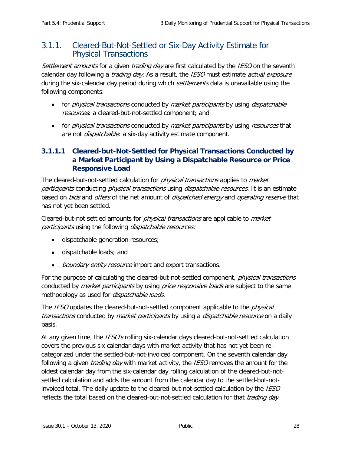## <span id="page-35-0"></span>3.1.1. Cleared-But-Not-Settled or Six-Day Activity Estimate for Physical Transactions

Settlement amounts for a given trading day are first calculated by the IESO on the seventh calendar day following a *trading day*. As a result, the *IESO* must estimate *actual exposure* during the six-calendar day period during which *settlements* data is unavailable using the following components:

- for *physical transactions* conducted by *market participants* by using *dispatchable* resources: a cleared-but-not-settled component; and
- for *physical transactions* conducted by *market participants* by using *resources* that are not *dispatchable*: a six-day activity estimate component.

### **3.1.1.1 Cleared-but-Not-Settled for Physical Transactions Conducted by a Market Participant by Using a Dispatchable Resource or Price Responsive Load**

The cleared-but-not-settled calculation for *physical transactions* applies to *market* participants conducting physical transactions using dispatchable resources. It is an estimate based on *bids* and *offers* of the net amount of *dispatched energy* and *operating reserve* that has not yet been settled.

Cleared-but-not settled amounts for *physical transactions* are applicable to *market* participants using the following dispatchable resources:

- dispatchable generation resources;
- dispatchable loads; and
- boundary entity resource import and export transactions.

For the purpose of calculating the cleared-but-not-settled component, *physical transactions* conducted by *market participants* by using *price responsive loads* are subject to the same methodology as used for *dispatchable loads*.

The *IESO* updates the cleared-but-not-settled component applicable to the *physical* transactions conducted by market participants by using a *dispatchable resource* on a daily basis.

At any given time, the *IESO's* rolling six-calendar days cleared-but-not-settled calculation covers the previous six calendar days with market activity that has not yet been recategorized under the settled-but-not-invoiced component. On the seventh calendar day following a given *trading day* with market activity, the *IESO* removes the amount for the oldest calendar day from the six-calendar day rolling calculation of the cleared-but-notsettled calculation and adds the amount from the calendar day to the settled-but-notinvoiced total. The daily update to the cleared-but-not-settled calculation by the *IESO* reflects the total based on the cleared-but-not-settled calculation for that *trading day*.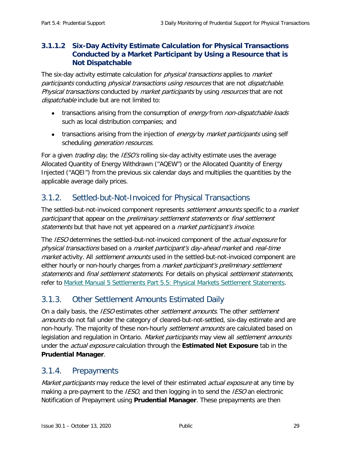### **3.1.1.2 Six-Day Activity Estimate Calculation for Physical Transactions Conducted by a Market Participant by Using a Resource that is Not Dispatchable**

The six-day activity estimate calculation for *physical transactions* applies to *market* participants conducting physical transactions using resources that are not dispatchable. Physical transactions conducted by market participants by using resources that are not dispatchable include but are not limited to:

- transactions arising from the consumption of energy from non-dispatchable loads such as local distribution companies; and
- transactions arising from the injection of energy by market participants using self scheduling *generation resources*.

For a given *trading day*, the *IESO's* rolling six-day activity estimate uses the average Allocated Quantity of Energy Withdrawn ("AQEW") or the Allocated Quantity of Energy Injected ("AQEI") from the previous six calendar days and multiplies the quantities by the applicable average daily prices.

## <span id="page-36-0"></span>3.1.2. Settled-but-Not-Invoiced for Physical Transactions

The settled-but-not-invoiced component represents *settlement amounts* specific to a *market* participant that appear on the preliminary settlement statements or final settlement statements but that have not yet appeared on a market participant's invoice.

The IESO determines the settled-but-not-invoiced component of the *actual exposure* for physical transactions based on a market participant's day-ahead market and real-time market activity. All *settlement amounts* used in the settled-but-not-invoiced component are either hourly or non-hourly charges from a *market participant's preliminary settlement* statements and final settlement statements. For details on physical settlement statements, refer to Market Manual [5 Settlements Part 5.5: Physical Markets Settlement Statements.](http://www.ieso.ca/-/media/Files/IESO/Document-Library/Market-Rules-and-Manuals-Library/market-manuals/settlements/se-rtestatements.pdf?la=en)

## <span id="page-36-1"></span>3.1.3. Other Settlement Amounts Estimated Daily

On a daily basis, the *IESO* estimates other *settlement amounts*. The other *settlement* amounts do not fall under the category of cleared-but-not-settled, six-day estimate and are non-hourly. The majority of these non-hourly *settlement amounts* are calculated based on legislation and regulation in Ontario. Market participants may view all settlement amounts under the actual exposure calculation through the **Estimated Net Exposure** tab in the **Prudential Manager**.

## <span id="page-36-2"></span>3.1.4. Prepayments

Market participants may reduce the level of their estimated actual exposure at any time by making a pre-payment to the *IESO*, and then logging in to send the *IESO* an electronic Notification of Prepayment using **Prudential Manager**. These prepayments are then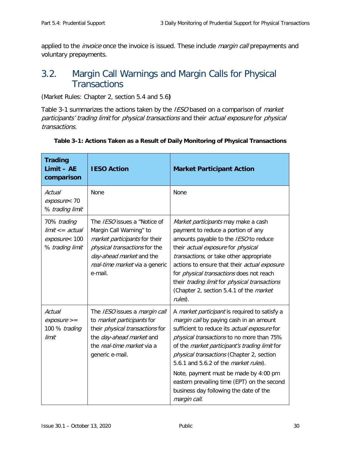applied to the *invoice* once the invoice is issued. These include *margin call* prepayments and voluntary prepayments.

## <span id="page-37-0"></span>3.2. Margin Call Warnings and Margin Calls for Physical **Transactions**

(Market Rules: Chapter 2, section 5.4 and 5.6**)**

[Table 3-1](#page-37-1) summarizes the actions taken by the IESO based on a comparison of *market* participants' trading limit for physical transactions and their actual exposure for physical transactions.

| <b>Trading</b><br>$Limit - AE$<br>comparison                          | <b>IESO Action</b>                                                                                                                                                                                      | <b>Market Participant Action</b>                                                                                                                                                                                                                                                                                                                                                                                                                                                       |
|-----------------------------------------------------------------------|---------------------------------------------------------------------------------------------------------------------------------------------------------------------------------------------------------|----------------------------------------------------------------------------------------------------------------------------------------------------------------------------------------------------------------------------------------------------------------------------------------------------------------------------------------------------------------------------------------------------------------------------------------------------------------------------------------|
| Actual<br>exposure< 70<br>% trading limit                             | None                                                                                                                                                                                                    | None                                                                                                                                                                                                                                                                                                                                                                                                                                                                                   |
| 70% trading<br>$limit < = actual$<br>exposure< 100<br>% trading limit | The IESO issues a "Notice of<br>Margin Call Warning" to<br>market participants for their<br>physical transactions for the<br>day-ahead market and the<br>real-time market via a generic<br>e-mail.      | Market participants may make a cash<br>payment to reduce a portion of any<br>amounts payable to the IESO to reduce<br>their actual exposure for physical<br>transactions, or take other appropriate<br>actions to ensure that their actual exposure<br>for <i>physical transactions</i> does not reach<br>their trading limit for physical transactions<br>(Chapter 2, section 5.4.1 of the market<br>rules).                                                                          |
| Actual<br>$exposure >=$<br>100 % trading<br>limit                     | The IESO issues a margin call<br>to <i>market participants</i> for<br>their <i>physical transactions</i> for<br>the <i>day-ahead market</i> and<br>the <i>real-time market</i> via a<br>generic e-mail. | A market participant is required to satisfy a<br>margin call by paying cash in an amount<br>sufficient to reduce its actual exposure for<br>physical transactions to no more than 75%<br>of the market participant's trading limit for<br>physical transactions (Chapter 2, section<br>5.6.1 and 5.6.2 of the <i>market rules</i> ).<br>Note, payment must be made by 4:00 pm<br>eastern prevailing time (EPT) on the second<br>business day following the date of the<br>margin call. |

#### <span id="page-37-1"></span>**Table 3-1: Actions Taken as a Result of Daily Monitoring of Physical Transactions**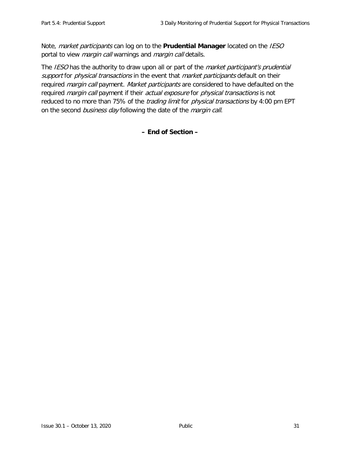Note, market participants can log on to the **Prudential Manager** located on the IESO portal to view *margin call* warnings and *margin call* details.

The IESO has the authority to draw upon all or part of the *market participant's prudential* support for physical transactions in the event that market participants default on their required *margin call* payment. Market participants are considered to have defaulted on the required *margin call* payment if their *actual exposure* for *physical transactions* is not reduced to no more than 75% of the *trading limit* for *physical transactions* by 4:00 pm EPT on the second business day following the date of the margin call.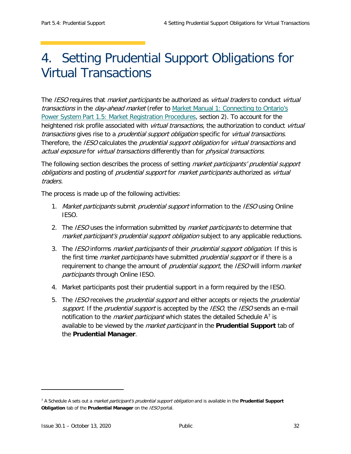# <span id="page-39-0"></span>4. Setting Prudential Support Obligations for Virtual Transactions

The IESO requires that *market participants* be authorized as *virtual traders* to conduct *virtual* transactions in the day-ahead market (refer to Market Manual 1: Connecting to Ontario's [Power System Part 1.5: Market Registration Procedures,](http://www.ieso.ca/-/media/Files/IESO/Document-Library/Market-Rules-and-Manuals-Library/market-manuals/connecting/market-registration.pdf?la=en) section 2). To account for the heightened risk profile associated with *virtual transactions*, the authorization to conduct *virtual* transactions gives rise to a *prudential support obligation* specific for *virtual transactions*. Therefore, the IESO calculates the prudential support obligation for virtual transactions and actual exposure for virtual transactions differently than for physical transactions.

The following section describes the process of setting *market participants' prudential support* obligations and posting of prudential support for market participants authorized as virtual traders.

The process is made up of the following activities:

- 1. Market participants submit prudential support information to the IESO using Online IESO.
- 2. The IESO uses the information submitted by *market participants* to determine that market participant's prudential support obligation subject to any applicable reductions.
- 3. The IESO informs market participants of their prudential support obligation. If this is the first time *market participants* have submitted *prudential support* or if there is a requirement to change the amount of *prudential support*, the *IESO* will inform *market* participants through Online IESO.
- 4. Market participants post their prudential support in a form required by the IESO.
- 5. The IESO receives the *prudential support* and either accepts or rejects the *prudential* support. If the prudential support is accepted by the IESO, the IESO sends an e-mail notification to the *market participant* which states the detailed Schedule  $A^7$  $A^7$  is available to be viewed by the market participant in the **Prudential Support** tab of the **Prudential Manager**.

ł

<span id="page-39-1"></span><sup>7</sup> A Schedule A sets out a market participant's prudential support obligation and is available in the **Prudential Support Obligation** tab of the **Prudential Manager** on the IESO portal.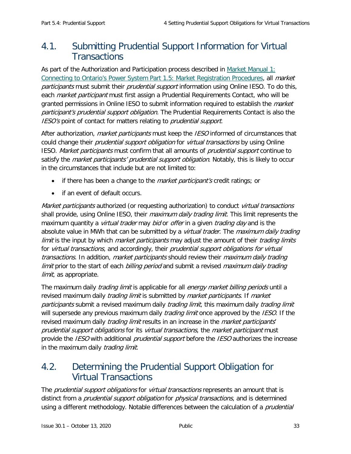## <span id="page-40-0"></span>4.1. Submitting Prudential Support Information for Virtual **Transactions**

As part of the Authorization and Participation process described in [Market Manual 1:](http://www.ieso.ca/-/media/Files/IESO/Document-Library/Market-Rules-and-Manuals-Library/market-manuals/connecting/market-registration.pdf?la=en)  [Connecting to Ontario's Power System Part 1.5: Market Registration Procedures,](http://www.ieso.ca/-/media/Files/IESO/Document-Library/Market-Rules-and-Manuals-Library/market-manuals/connecting/market-registration.pdf?la=en) all market participants must submit their prudential support information using Online IESO. To do this, each *market participant* must first assign a Prudential Requirements Contact, who will be granted permissions in Online IESO to submit information required to establish the *market* participant's prudential support obligation. The Prudential Requirements Contact is also the IESO's point of contact for matters relating to *prudential support*.

After authorization, *market participants* must keep the *IESO* informed of circumstances that could change their *prudential support obligation* for *virtual transactions* by using Online IESO. Market participants must confirm that all amounts of prudential support continue to satisfy the *market participants' prudential support obligation*. Notably, this is likely to occur in the circumstances that include but are not limited to:

- if there has been a change to the *market participant's* credit ratings; or
- if an event of default occurs.

Market participants authorized (or requesting authorization) to conduct virtual transactions shall provide, using Online IESO, their *maximum daily trading limit*. This limit represents the maximum quantity a *virtual trader* may *bid* or *offer* in a given *trading day* and is the absolute value in MWh that can be submitted by a *virtual trader*. The *maximum daily trading* limit is the input by which *market participants* may adjust the amount of their *trading limits* for virtual transactions, and accordingly, their prudential support obligations for virtual transactions. In addition, market participants should review their maximum daily trading limit prior to the start of each billing period and submit a revised maximum daily trading limit, as appropriate.

The maximum daily *trading limit* is applicable for all *energy market billing periods* until a revised maximum daily *trading limit* is submitted by *market participants*. If *market* participants submit a revised maximum daily *trading limit*, this maximum daily *trading limit* will supersede any previous maximum daily *trading limit* once approved by the *IESO*. If the revised maximum daily *trading limit* results in an increase in the *market participants'* prudential support obligations for its virtual transactions, the market participant must provide the *IESO* with additional *prudential support* before the *IESO* authorizes the increase in the maximum daily *trading limit*.

## <span id="page-40-1"></span>4.2. Determining the Prudential Support Obligation for Virtual Transactions

The *prudential support obligations* for *virtual transactions* represents an amount that is distinct from a *prudential support obligation* for *physical transactions*, and is determined using a different methodology. Notable differences between the calculation of a *prudential*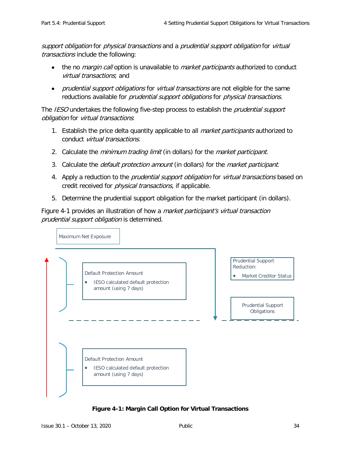support obligation for physical transactions and a prudential support obligation for virtual transactions include the following:

- the no *margin call* option is unavailable to *market participants* authorized to conduct virtual transactions; and
- *prudential support obligations* for *virtual transactions* are not eligible for the same reductions available for *prudential support obligations* for *physical transactions*.

The IESO undertakes the following five-step process to establish the *prudential support* obligation for virtual transactions:

- 1. Establish the price delta quantity applicable to all *market participants* authorized to conduct virtual transactions.
- 2. Calculate the *minimum trading limit* (in dollars) for the *market participant*.
- 3. Calculate the *default protection amount* (in dollars) for the *market participant*.
- 4. Apply a reduction to the *prudential support obligation* for *virtual transactions* based on credit received for *physical transactions*, if applicable.
- 5. Determine the prudential support obligation for the market participant (in dollars).

Figure 4-1 provides an illustration of how a *market participant's virtual transaction* prudential support obligation is determined.



<span id="page-41-0"></span>**Figure 4-1: Margin Call Option for Virtual Transactions**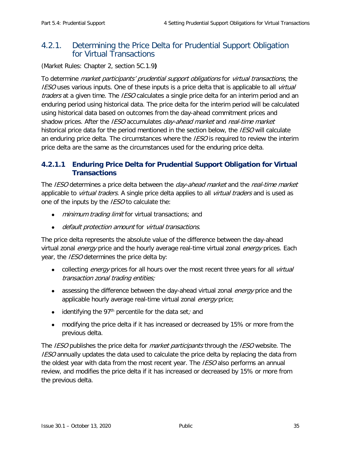## <span id="page-42-0"></span>4.2.1. Determining the Price Delta for Prudential Support Obligation for Virtual Transactions

(Market Rules: Chapter 2, section 5C.1.9**)**

To determine *market participants' prudential support obligations* for *virtual transactions*, the **IESO** uses various inputs. One of these inputs is a price delta that is applicable to all *virtual* traders at a given time. The *IESO* calculates a single price delta for an interim period and an enduring period using historical data. The price delta for the interim period will be calculated using historical data based on outcomes from the day-ahead commitment prices and shadow prices. After the IESO accumulates day-ahead market and real-time market historical price data for the period mentioned in the section below, the IESO will calculate an enduring price delta. The circumstances where the IESO is required to review the interim price delta are the same as the circumstances used for the enduring price delta.

### **4.2.1.1 Enduring Price Delta for Prudential Support Obligation for Virtual Transactions**

The IESO determines a price delta between the *day-ahead market* and the *real-time market* applicable to *virtual traders*. A single price delta applies to all *virtual traders* and is used as one of the inputs by the *IESO* to calculate the:

- minimum trading limit for virtual transactions; and
- default protection amount for virtual transactions.

The price delta represents the absolute value of the difference between the day-ahead virtual zonal *energy* price and the hourly average real-time virtual zonal *energy* prices. Each year, the *IESO* determines the price delta by:

- collecting *energy* prices for all hours over the most recent three years for all *virtual* transaction zonal trading entities;
- assessing the difference between the day-ahead virtual zonal *energy* price and the applicable hourly average real-time virtual zonal energy price;
- identifying the 97<sup>th</sup> percentile for the data set; and
- modifying the price delta if it has increased or decreased by 15% or more from the previous delta.

The IESO publishes the price delta for *market participants* through the IESO website. The **IESO** annually updates the data used to calculate the price delta by replacing the data from the oldest year with data from the most recent year. The *IESO* also performs an annual review, and modifies the price delta if it has increased or decreased by 15% or more from the previous delta.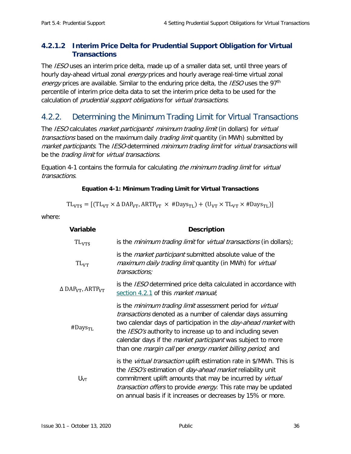### **4.2.1.2 Interim Price Delta for Prudential Support Obligation for Virtual Transactions**

The IESO uses an interim price delta, made up of a smaller data set, until three years of hourly day-ahead virtual zonal energy prices and hourly average real-time virtual zonal energy prices are available. Similar to the enduring price delta, the *IESO* uses the 97<sup>th</sup> percentile of interim price delta data to set the interim price delta to be used for the calculation of prudential support obligations for virtual transactions.

## <span id="page-43-0"></span>4.2.2. Determining the Minimum Trading Limit for Virtual Transactions

The IESO calculates market participants' minimum trading limit (in dollars) for virtual transactions based on the maximum daily *trading limit* quantity (in MWh) submitted by market participants. The IESO-determined minimum trading limit for virtual transactions will be the *trading limit* for *virtual transactions*.

<span id="page-43-1"></span>Equation 4-1 contains the formula for calculating the minimum trading limit for virtual transactions.

#### **Equation 4-1: Minimum Trading Limit for Virtual Transactions**

 $TL_{VTS} = [(TL_{VT} \times \Delta DAP_{VT}, ARTP_{VT} \times #Days_{TL}) + (U_{VT} \times TL_{VT} \times #Days_{TL})]$ 

where:

| Variable                                 | <b>Description</b>                                                                                                                                                                                                                                                                                                                                                                                                                |
|------------------------------------------|-----------------------------------------------------------------------------------------------------------------------------------------------------------------------------------------------------------------------------------------------------------------------------------------------------------------------------------------------------------------------------------------------------------------------------------|
| $TL_{VTS}$                               | is the <i>minimum trading limit</i> for <i>virtual transactions</i> (in dollars);                                                                                                                                                                                                                                                                                                                                                 |
| $TL_{VT}$                                | is the <i>market participant</i> submitted absolute value of the<br>maximum daily trading limit quantity (in MWh) for virtual<br>transactions;                                                                                                                                                                                                                                                                                    |
| Δ DAP <sub>VT</sub> , ARTP <sub>VT</sub> | is the <i>IESO</i> determined price delta calculated in accordance with<br>section 4.2.1 of this <i>market manual</i> ;                                                                                                                                                                                                                                                                                                           |
| $#$ Days <sub>TL</sub>                   | is the <i>minimum trading limit</i> assessment period for <i>virtual</i><br>transactions denoted as a number of calendar days assuming<br>two calendar days of participation in the <i>day-ahead market</i> with<br>the IESO's authority to increase up to and including seven<br>calendar days if the <i>market participant</i> was subject to more<br>than one <i>margin call</i> per <i>energy market billing period</i> ; and |
| U <sub>VT</sub>                          | is the <i>virtual transaction</i> uplift estimation rate in \$/MWh. This is<br>the IESO's estimation of <i>day-ahead market</i> reliability unit<br>commitment uplift amounts that may be incurred by virtual<br>transaction offers to provide energy. This rate may be updated<br>on annual basis if it increases or decreases by 15% or more.                                                                                   |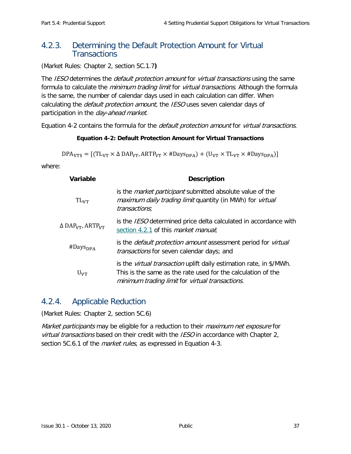## <span id="page-44-0"></span>4.2.3. Determining the Default Protection Amount for Virtual **Transactions**

(Market Rules: Chapter 2, section 5C.1.7**)**

The IESO determines the *default protection amount* for *virtual transactions* using the same formula to calculate the *minimum trading limit* for *virtual transactions*. Although the formula is the same, the number of calendar days used in each calculation can differ. When calculating the *default protection amount*, the *IESO* uses seven calendar days of participation in the day-ahead market.

<span id="page-44-2"></span>Equation 4-2 contains the formula for the *default protection amount* for *virtual transactions*.

#### **Equation 4-2: Default Protection Amount for Virtual Transactions**

 $DPA<sub>VTS</sub> = [(TL<sub>VT</sub> × Δ DAP<sub>VT</sub>, ARTP<sub>VT</sub> × #Days<sub>DPA</sub>) + (U<sub>VT</sub> × TL<sub>VT</sub> × #Days<sub>DPA</sub>)]$ 

where:

| <b>Variable</b>                                 | <b>Description</b>                                                                                                                                                                            |
|-------------------------------------------------|-----------------------------------------------------------------------------------------------------------------------------------------------------------------------------------------------|
| $TL_{VT}$                                       | is the <i>market participant</i> submitted absolute value of the<br>maximum daily trading limit quantity (in MWh) for virtual<br>transactions;                                                |
| $\Delta$ DAP <sub>VT</sub> , ARTP <sub>VT</sub> | is the <i>IESO</i> determined price delta calculated in accordance with<br>section 4.2.1 of this <i>market manual</i> ;                                                                       |
| $#$ Days <sub>DPA</sub>                         | is the <i>default protection amount</i> assessment period for <i>virtual</i><br>transactions for seven calendar days; and                                                                     |
| $U_{VT}$                                        | is the <i>virtual transaction</i> uplift daily estimation rate, in \$/MWh.<br>This is the same as the rate used for the calculation of the<br>minimum trading limit for virtual transactions. |

### <span id="page-44-1"></span>4.2.4. Applicable Reduction

(Market Rules: Chapter 2, section 5C.6)

Market participants may be eligible for a reduction to their maximum net exposure for virtual transactions based on their credit with the IESO in accordance with Chapter 2, section 5C.6.1 of the *market rules*, as expressed in Equation 4-3.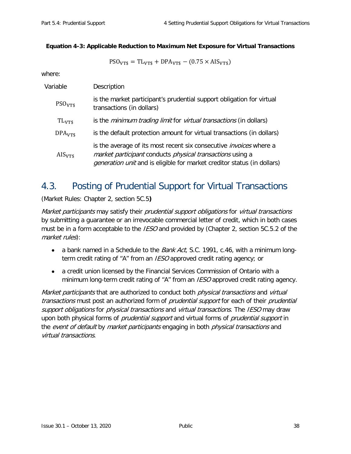#### <span id="page-45-1"></span>**Equation 4-3: Applicable Reduction to Maximum Net Exposure for Virtual Transactions**

$$
\text{PSO}_{\text{VTS}} = \text{TL}_{\text{VTS}} + \text{DPA}_{\text{VTS}} - (0.75 \times \text{AIS}_{\text{VTS}})
$$

where:

| Variable           | Description                                                                                                                                                                                                              |
|--------------------|--------------------------------------------------------------------------------------------------------------------------------------------------------------------------------------------------------------------------|
| PSO <sub>VTS</sub> | is the market participant's prudential support obligation for virtual<br>transactions (in dollars)                                                                                                                       |
| $TL_{VTS}$         | is the <i>minimum trading limit</i> for <i>virtual transactions</i> (in dollars)                                                                                                                                         |
| DPA <sub>VTS</sub> | is the default protection amount for virtual transactions (in dollars)                                                                                                                                                   |
| $\rm{AIS}_{VTS}$   | is the average of its most recent six consecutive <i>invoices</i> where a<br>market participant conducts physical transactions using a<br><i>generation unit</i> and is eligible for market creditor status (in dollars) |

## <span id="page-45-0"></span>4.3. Posting of Prudential Support for Virtual Transactions

(Market Rules: Chapter 2, section 5C.5**)**

Market participants may satisfy their prudential support obligations for virtual transactions by submitting a guarantee or an irrevocable commercial letter of credit, which in both cases must be in a form acceptable to the *IESO* and provided by (Chapter 2, section 5C.5.2 of the market rules):

- a bank named in a Schedule to the *Bank Act*, S.C. 1991, c.46, with a minimum longterm credit rating of "A" from an *IESO* approved credit rating agency; or
- a credit union licensed by the Financial Services Commission of Ontario with a minimum long-term credit rating of "A" from an *IESO* approved credit rating agency.

Market participants that are authorized to conduct both physical transactions and virtual transactions must post an authorized form of *prudential support* for each of their *prudential* support obligations for *physical transactions* and *virtual transactions*. The *IESO* may draw upon both physical forms of *prudential support* and virtual forms of *prudential support* in the *event of default* by *market participants* engaging in both *physical transactions* and virtual transactions.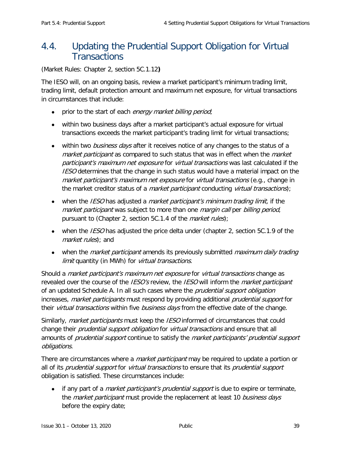## <span id="page-46-0"></span>4.4. Updating the Prudential Support Obligation for Virtual **Transactions**

(Market Rules: Chapter 2, section 5C.1.12**)**

The IESO will, on an ongoing basis, review a market participant's minimum trading limit, trading limit, default protection amount and maximum net exposure, for virtual transactions in circumstances that include:

- prior to the start of each energy market billing period;
- within two business days after a market participant's actual exposure for virtual transactions exceeds the market participant's trading limit for virtual transactions;
- within two *business days* after it receives notice of any changes to the status of a market participant as compared to such status that was in effect when the market participant's maximum net exposure for virtual transactions was last calculated if the **IESO** determines that the change in such status would have a material impact on the market participant's maximum net exposure for virtual transactions (e.g., change in the market creditor status of a *market participant* conducting *virtual transactions*);
- when the *IESO* has adjusted a *market participant's minimum trading limit,* if the market participant was subject to more than one *margin call* per *billing period*, pursuant to (Chapter 2, section 5C.1.4 of the *market rules*);
- when the *IESO* has adjusted the price delta under (chapter 2, section  $5C.1.9$  of the market rules); and
- when the *market participant* amends its previously submitted *maximum daily trading* limit quantity (in MWh) for *virtual transactions*.

Should a *market participant's maximum net exposure* for *virtual transactions* change as revealed over the course of the *IESO's* review, the *IESO* will inform the *market participant* of an updated Schedule A. In all such cases where the *prudential support obligation* increases, market participants must respond by providing additional prudential support for their virtual transactions within five business days from the effective date of the change.

Similarly, *market participants* must keep the *IESO* informed of circumstances that could change their *prudential support obligation* for *virtual transactions* and ensure that all amounts of *prudential support* continue to satisfy the *market participants' prudential support* obligations.

There are circumstances where a *market participant* may be required to update a portion or all of its *prudential support* for *virtual transactions* to ensure that its *prudential support* obligation is satisfied. These circumstances include:

• if any part of a *market participant's prudential support* is due to expire or terminate, the *market participant* must provide the replacement at least 10 business days before the expiry date;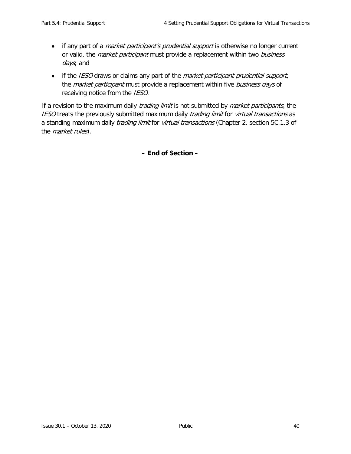- if any part of a *market participant's prudential support* is otherwise no longer current or valid, the *market participant* must provide a replacement within two business days; and
- if the IESO draws or claims any part of the *market participant prudential support*, the *market participant* must provide a replacement within five business days of receiving notice from the IESO.

If a revision to the maximum daily *trading limit* is not submitted by *market participants*, the IESO treats the previously submitted maximum daily trading limit for virtual transactions as a standing maximum daily *trading limit* for *virtual transactions* (Chapter 2, section 5C.1.3 of the *market rules*).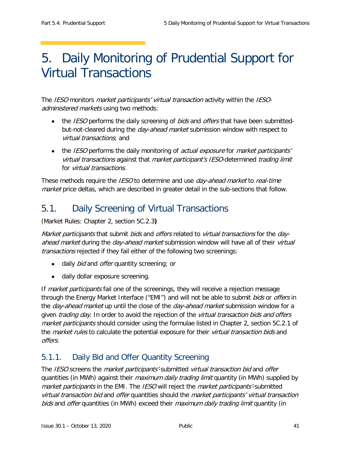# <span id="page-48-0"></span>5. Daily Monitoring of Prudential Support for Virtual Transactions

The IESO monitors *market participants' virtual transaction* activity within the IESOadministered markets using two methods:

- the *IESO* performs the daily screening of *bids* and *offers* that have been submittedbut-not-cleared during the *day-ahead market* submission window with respect to virtual transactions; and
- the IESO performs the daily monitoring of actual exposure for market participants' virtual transactions against that market participant's IESO-determined trading limit for *virtual transactions*.

These methods require the *IESO* to determine and use *day-ahead market* to *real-time* market price deltas, which are described in greater detail in the sub-sections that follow.

# <span id="page-48-1"></span>5.1. Daily Screening of Virtual Transactions

(Market Rules: Chapter 2, section 5C.2.3**)**

Market participants that submit bids and offers related to virtual transactions for the dayahead market during the day-ahead market submission window will have all of their virtual transactions rejected if they fail either of the following two screenings:

- daily *bid* and *offer* quantity screening; or
- daily dollar exposure screening.

If *market participants* fail one of the screenings, they will receive a rejection message through the Energy Market Interface ("EMI") and will not be able to submit *bids* or *offers* in the *day-ahead market* up until the close of the *day-ahead market* submission window for a given *trading day*. In order to avoid the rejection of the *virtual transaction bids and offers* market participants should consider using the formulae listed in Chapter 2, section 5C.2.1 of the *market rules* to calculate the potential exposure for their *virtual transaction bids* and offers.

## <span id="page-48-2"></span>5.1.1. Daily Bid and Offer Quantity Screening

The IESO screens the *market participants'*-submitted *virtual transaction bid* and *offer* quantities (in MWh) against their *maximum daily trading limit* quantity (in MWh) supplied by market participants in the EMI. The IESO will reject the market participants'-submitted virtual transaction bid and offer quantities should the market participants' virtual transaction bids and offer quantities (in MWh) exceed their maximum daily trading limit quantity (in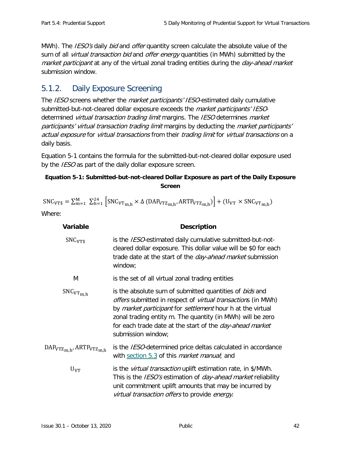MWh). The *IESO's* daily *bid* and *offer* quantity screen calculate the absolute value of the sum of all *virtual transaction bid* and *offer energy* quantities (in MWh) submitted by the market participant at any of the virtual zonal trading entities during the day-ahead market submission window.

## <span id="page-49-0"></span>5.1.2. Daily Exposure Screening

The IESO screens whether the *market participants' IESO*-estimated daily cumulative submitted-but-not-cleared dollar exposure exceeds the *market participants' IESO*determined *virtual transaction trading limit* margins. The *IESO* determines *market* participants' virtual transaction trading limit margins by deducting the market participants' actual exposure for virtual transactions from their trading limit for virtual transactions on a daily basis.

Equation 5-1 contains the formula for the submitted-but-not-cleared dollar exposure used by the *IESO* as part of the daily dollar exposure screen.

#### <span id="page-49-1"></span>**Equation 5-1: Submitted-but-not-cleared Dollar Exposure as part of the Daily Exposure Screen**

| $SNC_{VTS} = \sum_{m=1}^{M} \sum_{h=1}^{24} \left[ SNC_{VTm,h} \times \Delta \left( DAP_{VTZm,h} \right) ARTP_{VTZm,h} \right) + (U_{VT} \times SNC_{VTm,h})$ |  |  |  |
|---------------------------------------------------------------------------------------------------------------------------------------------------------------|--|--|--|
| $Mh$ ara $\cdot$                                                                                                                                              |  |  |  |

Where:

| Variable                                       | <b>Description</b>                                                                                                                                                                                                                                                                                                                                                        |
|------------------------------------------------|---------------------------------------------------------------------------------------------------------------------------------------------------------------------------------------------------------------------------------------------------------------------------------------------------------------------------------------------------------------------------|
| SNC <sub>VTS</sub>                             | is the <i>IESO</i> -estimated daily cumulative submitted-but-not-<br>cleared dollar exposure. This dollar value will be \$0 for each<br>trade date at the start of the <i>day-ahead market</i> submission<br>window;                                                                                                                                                      |
| M                                              | is the set of all virtual zonal trading entities                                                                                                                                                                                                                                                                                                                          |
| $SNC_{VTm,h}$                                  | is the absolute sum of submitted quantities of bids and<br><i>offers</i> submitted in respect of <i>virtual transaction</i> s (in MWh)<br>by <i>market participant</i> for <i>settlement</i> hour h at the virtual<br>zonal trading entity m. The quantity (in MWh) will be zero<br>for each trade date at the start of the <i>day-ahead market</i><br>submission window; |
| DAP <sub>VTZm,h</sub> , ARTP <sub>VTZm,h</sub> | is the <i>IESO</i> -determined price deltas calculated in accordance<br>with section 5.3 of this <i>market manual</i> ; and                                                                                                                                                                                                                                               |
| $U_{VT}$                                       | is the <i>virtual transaction</i> uplift estimation rate, in \$/MWh.<br>This is the <i>IESO's</i> estimation of <i>day-ahead market</i> reliability<br>unit commitment uplift amounts that may be incurred by<br>virtual transaction offers to provide energy.                                                                                                            |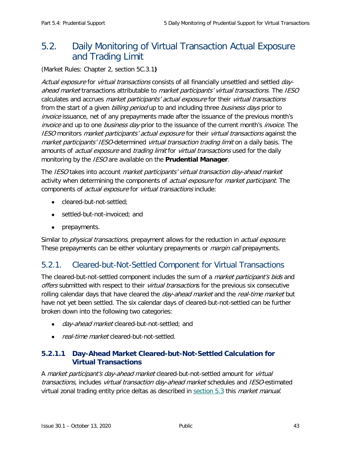## <span id="page-50-0"></span>5.2. Daily Monitoring of Virtual Transaction Actual Exposure and Trading Limit

(Market Rules: Chapter 2, section 5C.3.1**)**

Actual exposure for virtual transactions consists of all financially unsettled and settled dayahead market transactions attributable to market participants' virtual transactions. The IESO calculates and accrues *market participants' actual exposure* for their *virtual transactions* from the start of a given *billing period* up to and including three *business days* prior to invoice issuance, net of any prepayments made after the issuance of the previous month's invoice and up to one business day prior to the issuance of the current month's invoice. The IESO monitors *market participants' actual exposure* for their *virtual transactions* against the market participants' IESO-determined virtual transaction trading limit on a daily basis. The amounts of *actual exposure* and *trading limit* for *virtual transactions* used for the daily monitoring by the IESO are available on the **Prudential Manager**.

The IESO takes into account *market participants' virtual transaction day-ahead market* activity when determining the components of *actual exposure* for *market participant*. The components of *actual exposure* for *virtual transactions* include:

- cleared-but-not-settled;
- settled-but-not-invoiced; and
- prepayments.

Similar to *physical transactions*, prepayment allows for the reduction in *actual exposure*. These prepayments can be either voluntary prepayments or *margin call* prepayments.

## <span id="page-50-1"></span>5.2.1. Cleared-but-Not-Settled Component for Virtual Transactions

The cleared-but-not-settled component includes the sum of a *market participant's bids* and offers submitted with respect to their *virtual transaction*s for the previous six consecutive rolling calendar days that have cleared the *day-ahead market* and the *real-time market* but have not yet been settled. The six calendar days of cleared-but-not-settled can be further broken down into the following two categories:

- *day-ahead market* cleared-but-not-settled; and
- *real-time market* cleared-but-not-settled.

### **5.2.1.1 Day-Ahead Market Cleared-but-Not-Settled Calculation for Virtual Transactions**

A market participant's day-ahead market cleared-but-not-settled amount for virtual transactions, includes *virtual transaction day-ahead market* schedules and *IESO*-estimated virtual zonal trading entity price deltas as described in [section 5.3](#page-52-0) this *market manual*.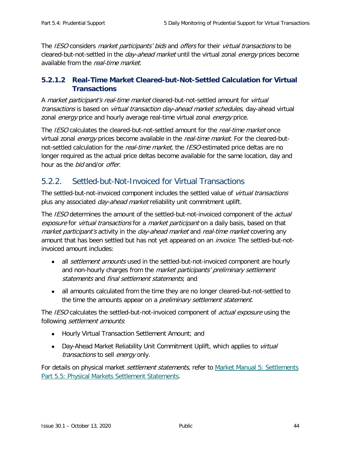The IESO considers *market participants' bids* and *offers* for their *virtual transactions* to be cleared-but-not-settled in the *day-ahead market* until the virtual zonal *energy* prices become available from the real-time market.

### **5.2.1.2 Real-Time Market Cleared-but-Not-Settled Calculation for Virtual Transactions**

A market participant's real-time market cleared-but-not-settled amount for virtual transactions is based on *virtual transaction day-ahead market schedules*, day-ahead virtual zonal *energy* price and hourly average real-time virtual zonal *energy* price.

The IESO calculates the cleared-but-not-settled amount for the real-time market once virtual zonal *energy* prices become available in the *real-time market*. For the cleared-butnot-settled calculation for the *real-time market*, the *IESO*-estimated price deltas are no longer required as the actual price deltas become available for the same location, day and hour as the *bid* and/or *offer*.

## <span id="page-51-0"></span>5.2.2. Settled-but-Not-Invoiced for Virtual Transactions

The settled-but-not-invoiced component includes the settled value of *virtual transactions* plus any associated *day-ahead market* reliability unit commitment uplift.

The IESO determines the amount of the settled-but-not-invoiced component of the *actual* exposure for virtual transactions for a market participant on a daily basis, based on that market participant's activity in the day-ahead market and real-time market covering any amount that has been settled but has not yet appeared on an *invoice*. The settled-but-notinvoiced amount includes:

- all *settlement amounts* used in the settled-but-not-invoiced component are hourly and non-hourly charges from the *market participants' preliminary settlement* statements and final settlement statements; and
- all amounts calculated from the time they are no longer cleared-but-not-settled to the time the amounts appear on a *preliminary settlement statement*.

The IESO calculates the settled-but-not-invoiced component of *actual exposure* using the following settlement amounts:

- Hourly Virtual Transaction Settlement Amount; and
- Day-Ahead Market Reliability Unit Commitment Uplift, which applies to *virtual* transactions to sell energy only.

For details on physical market *settlement statements*, refer to Market Manual 5: Settlements [Part 5.5: Physical Markets Settlement Statements.](http://www.ieso.ca/-/media/Files/IESO/Document-Library/Market-Rules-and-Manuals-Library/market-manuals/settlements/se-rtestatements.pdf?la=en)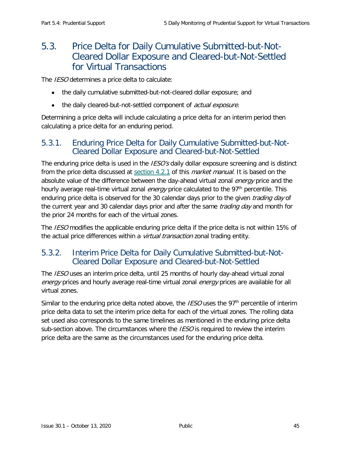## <span id="page-52-0"></span>5.3. Price Delta for Daily Cumulative Submitted-but-Not-Cleared Dollar Exposure and Cleared-but-Not-Settled for Virtual Transactions

The *IESO* determines a price delta to calculate:

- the daily cumulative submitted-but-not-cleared dollar exposure; and
- the daily cleared-but-not-settled component of *actual exposure.*

Determining a price delta will include calculating a price delta for an interim period then calculating a price delta for an enduring period.

### <span id="page-52-1"></span>5.3.1. Enduring Price Delta for Daily Cumulative Submitted-but-Not-Cleared Dollar Exposure and Cleared-but-Not-Settled

The enduring price delta is used in the *IESO's* daily dollar exposure screening and is distinct from the price delta discussed at [section 4.2.1](#page-42-0) of this *market manual*. It is based on the absolute value of the difference between the day-ahead virtual zonal *energy* price and the hourly average real-time virtual zonal *energy* price calculated to the 97<sup>th</sup> percentile. This enduring price delta is observed for the 30 calendar days prior to the given *trading day* of the current year and 30 calendar days prior and after the same *trading day* and month for the prior 24 months for each of the virtual zones.

The *IESO* modifies the applicable enduring price delta if the price delta is not within 15% of the actual price differences within a virtual transaction zonal trading entity.

## <span id="page-52-2"></span>5.3.2. Interim Price Delta for Daily Cumulative Submitted-but-Not-Cleared Dollar Exposure and Cleared-but-Not-Settled

The IESO uses an interim price delta, until 25 months of hourly day-ahead virtual zonal energy prices and hourly average real-time virtual zonal energy prices are available for all virtual zones.

Similar to the enduring price delta noted above, the *IESO* uses the 97<sup>th</sup> percentile of interim price delta data to set the interim price delta for each of the virtual zones. The rolling data set used also corresponds to the same timelines as mentioned in the enduring price delta sub-section above. The circumstances where the  $\textit{IESO}$  is required to review the interim price delta are the same as the circumstances used for the enduring price delta.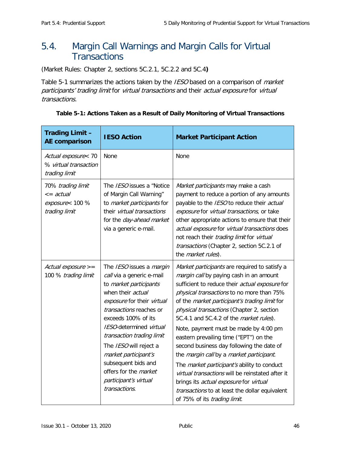## <span id="page-53-0"></span>5.4. Margin Call Warnings and Margin Calls for Virtual **Transactions**

(Market Rules: Chapter 2, sections 5C.2.1, 5C.2.2 and 5C.4**)**

[Table 5-1](#page-53-1) summarizes the actions taken by the IESO based on a comparison of market participants' trading limit for virtual transactions and their actual exposure for virtual transactions.

| <b>Trading Limit -</b><br><b>AE comparison</b>                           | <b>IESO Action</b>                                                                                                                                                                                                                                                                                                                                                                       | <b>Market Participant Action</b>                                                                                                                                                                                                                                                                                                                                                                                                                                                                                                                                                                                                                                                                                                                           |
|--------------------------------------------------------------------------|------------------------------------------------------------------------------------------------------------------------------------------------------------------------------------------------------------------------------------------------------------------------------------------------------------------------------------------------------------------------------------------|------------------------------------------------------------------------------------------------------------------------------------------------------------------------------------------------------------------------------------------------------------------------------------------------------------------------------------------------------------------------------------------------------------------------------------------------------------------------------------------------------------------------------------------------------------------------------------------------------------------------------------------------------------------------------------------------------------------------------------------------------------|
| Actual exposure< 70<br>% virtual transaction<br>trading limit            | None                                                                                                                                                                                                                                                                                                                                                                                     | None                                                                                                                                                                                                                                                                                                                                                                                                                                                                                                                                                                                                                                                                                                                                                       |
| 70% trading limit<br>$\leq$ = actual<br>exposure< 100 %<br>trading limit | The IESO issues a "Notice<br>of Margin Call Warning"<br>to market participants for<br>their virtual transactions<br>for the day-ahead market<br>via a generic e-mail.                                                                                                                                                                                                                    | Market participants may make a cash<br>payment to reduce a portion of any amounts<br>payable to the IESO to reduce their actual<br>exposure for virtual transactions, or take<br>other appropriate actions to ensure that their<br>actual exposure for virtual transactions does<br>not reach their trading limit for virtual<br>transactions (Chapter 2, section 5C.2.1 of<br>the market rules).                                                                                                                                                                                                                                                                                                                                                          |
| Actual exposure $>=$<br>100 % trading limit                              | The IESO issues a margin<br>call via a generic e-mail<br>to market participants<br>when their actual<br>exposure for their virtual<br>transactions reaches or<br>exceeds 100% of its<br>IESO-determined virtual<br>transaction trading limit<br>The IESO will reject a<br>market participant's<br>subsequent bids and<br>offers for the market<br>participant's virtual<br>transactions. | Market participants are required to satisfy a<br>margin call by paying cash in an amount<br>sufficient to reduce their actual exposure for<br>physical transactions to no more than 75%<br>of the market participant's trading limit for<br>physical transactions (Chapter 2, section<br>5C.4.1 and 5C.4.2 of the <i>market rules</i> ).<br>Note, payment must be made by 4:00 pm<br>eastern prevailing time ("EPT") on the<br>second business day following the date of<br>the margin call by a market participant.<br>The <i>market participant's</i> ability to conduct<br>virtual transactions will be reinstated after it<br>brings its actual exposure for virtual<br>transactions to at least the dollar equivalent<br>of 75% of its trading limit. |

#### <span id="page-53-1"></span>**Table 5-1: Actions Taken as a Result of Daily Monitoring of Virtual Transactions**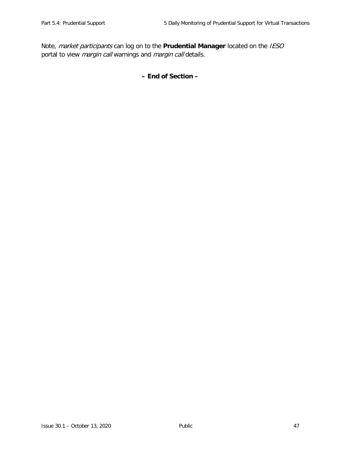Note, market participants can log on to the **Prudential Manager** located on the IESO portal to view *margin call* warnings and *margin call* details.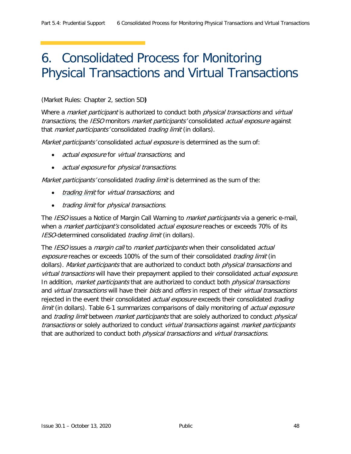# <span id="page-55-0"></span>6. Consolidated Process for Monitoring Physical Transactions and Virtual Transactions

#### (Market Rules: Chapter 2, section 5D**)**

Where a *market participant* is authorized to conduct both *physical transactions* and *virtual* transactions, the IESO monitors market participants' consolidated actual exposure against that *market participants'* consolidated *trading limit* (in dollars).

Market participants' consolidated actual exposure is determined as the sum of:

- actual exposure for virtual transactions; and
- actual exposure for physical transactions.

Market participants' consolidated *trading limit* is determined as the sum of the:

- *trading limit* for *virtual transactions*; and
- trading limit for physical transactions.

The *IESO* issues a Notice of Margin Call Warning to *market participants* via a generic e-mail, when a *market participant's* consolidated *actual exposure* reaches or exceeds 70% of its IESO-determined consolidated trading limit (in dollars).

The IESO issues a *margin call* to *market participants* when their consolidated *actual* exposure reaches or exceeds 100% of the sum of their consolidated trading limit (in dollars). Market participants that are authorized to conduct both physical transactions and virtual transactions will have their prepayment applied to their consolidated actual exposure. In addition, *market participants* that are authorized to conduct both *physical transactions* and virtual transactions will have their bids and offers in respect of their virtual transactions rejected in the event their consolidated *actual exposure* exceeds their consolidated *trading* limit (in dollars). [Table 6-1](#page-56-0) summarizes comparisons of daily monitoring of *actual exposure* and *trading limit* between *market participants* that are solely authorized to conduct *physical* transactions or solely authorized to conduct *virtual transactions* against *market participants* that are authorized to conduct both *physical transactions* and *virtual transactions*.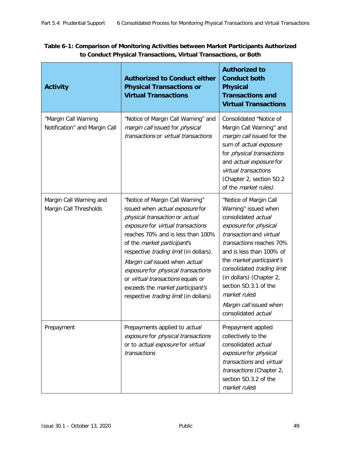<span id="page-56-0"></span>

| Table 6-1: Comparison of Monitoring Activities between Market Participants Authorized |  |
|---------------------------------------------------------------------------------------|--|
| to Conduct Physical Transactions, Virtual Transactions, or Both                       |  |

| <b>Activity</b>                                       | <b>Authorized to Conduct either</b><br><b>Physical Transactions or</b><br><b>Virtual Transactions</b>                                                                                                                                                                                                                                                                                                                                                                  | <b>Authorized to</b><br><b>Conduct both</b><br><b>Physical</b><br><b>Transactions and</b><br><b>Virtual Transactions</b>                                                                                                                                                                                                                                            |
|-------------------------------------------------------|------------------------------------------------------------------------------------------------------------------------------------------------------------------------------------------------------------------------------------------------------------------------------------------------------------------------------------------------------------------------------------------------------------------------------------------------------------------------|---------------------------------------------------------------------------------------------------------------------------------------------------------------------------------------------------------------------------------------------------------------------------------------------------------------------------------------------------------------------|
| "Margin Call Warning<br>Notification" and Margin Call | "Notice of Margin Call Warning" and<br>margin call issued for physical<br>transactions or virtual transactions                                                                                                                                                                                                                                                                                                                                                         | Consolidated "Notice of<br>Margin Call Warning" and<br>margin call issued for the<br>sum of actual exposure<br>for physical transactions<br>and actual exposure for<br>virtual transactions<br>(Chapter 2, section 5D.2<br>of the <i>market rules</i> ).                                                                                                            |
| Margin Call Warning and<br>Margin Call Thresholds     | "Notice of Margin Call Warning"<br>issued when actual exposure for<br>physical transaction or actual<br>exposure for virtual transactions<br>reaches 70% and is less than 100%<br>of the <i>market participant's</i><br>respective <i>trading limit</i> (in dollars).<br>Margin call issued when actual<br>exposure for physical transactions<br>or virtual transactions equals or<br>exceeds the market participant's<br>respective <i>trading limit</i> (in dollars) | "Notice of Margin Call<br>Warning" issued when<br>consolidated actual<br>exposure for physical<br>transaction and virtual<br>transactions reaches 70%<br>and is less than 100% of<br>the market participant's<br>consolidated trading limit<br>(in dollars) (Chapter 2,<br>section 5D.3.1 of the<br>market rules)<br>Margin call issued when<br>consolidated actual |
| Prepayment                                            | Prepayments applied to actual<br>exposure for physical transactions<br>or to actual exposure for virtual<br>transactions                                                                                                                                                                                                                                                                                                                                               | Prepayment applied<br>collectively to the<br>consolidated actual<br>exposure for physical<br>transactions and virtual<br>transactions (Chapter 2,<br>section 5D.3.2 of the<br>market rules)                                                                                                                                                                         |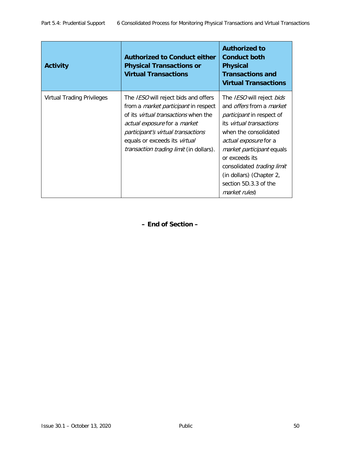| <b>Activity</b>            | <b>Authorized to Conduct either</b><br><b>Physical Transactions or</b><br><b>Virtual Transactions</b>                                                                                                                                                                                                            | <b>Authorized to</b><br><b>Conduct both</b><br><b>Physical</b><br><b>Transactions and</b><br><b>Virtual Transactions</b>                                                                                                                                                                                                                                             |
|----------------------------|------------------------------------------------------------------------------------------------------------------------------------------------------------------------------------------------------------------------------------------------------------------------------------------------------------------|----------------------------------------------------------------------------------------------------------------------------------------------------------------------------------------------------------------------------------------------------------------------------------------------------------------------------------------------------------------------|
| Virtual Trading Privileges | The <i>IESO</i> will reject bids and offers<br>from a <i>market participant</i> in respect<br>of its <i>virtual transactions</i> when the<br><i>actual exposure</i> for a <i>market</i><br>participant's virtual transactions<br>equals or exceeds its virtual<br><i>transaction trading limit</i> (in dollars). | The <i>IESO</i> will reject <i>bids</i><br>and <i>offers</i> from a <i>market</i><br><i>participant</i> in respect of<br>its virtual transactions<br>when the consolidated<br>actual exposure for a<br><i>market participant</i> equals<br>or exceeds its<br>consolidated <i>trading limit</i><br>(in dollars) (Chapter 2,<br>section 5D.3.3 of the<br>market rules) |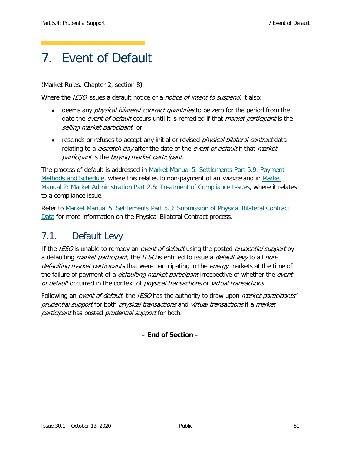# <span id="page-58-0"></span>7. Event of Default

(Market Rules: Chapter 2, section 8**)**

Where the IESO issues a default notice or a notice of intent to suspend, it also:

- deems any *physical bilateral contract quantities* to be zero for the period from the date the event of default occurs until it is remedied if that *market participant* is the selling market participant; or
- rescinds or refuses to accept any initial or revised *physical bilateral contract* data relating to a *dispatch day* after the date of the event of default if that market participant is the buying market participant.

The process of default is addressed in [Market Manual 5: Settlements Part 5.9: Payment](http://www.ieso.ca/-/media/Files/IESO/Document-Library/Market-Rules-and-Manuals-Library/market-manuals/settlements/se-PaymentMethods.pdf?la=en)  [Methods and Schedule,](http://www.ieso.ca/-/media/Files/IESO/Document-Library/Market-Rules-and-Manuals-Library/market-manuals/settlements/se-PaymentMethods.pdf?la=en) where this relates to non-payment of an *invoice* and in Market [Manual 2: Market Administration Part 2.6: Treatment of Compliance Issues,](http://www.ieso.ca/-/media/Files/IESO/Document-Library/Market-Rules-and-Manuals-Library/market-manuals/market-administration/ma-CompIssues.pdf?la=en) where it relates to a compliance issue.

Refer to [Market Manual 5: Settlements Part 5.3: Submission of Physical Bilateral Contract](http://www.ieso.ca/-/media/Files/IESO/Document-Library/Market-Rules-and-Manuals-Library/market-manuals/settlements/se-PhysicalBilaterals.pdf?la=en)  [Data](http://www.ieso.ca/-/media/Files/IESO/Document-Library/Market-Rules-and-Manuals-Library/market-manuals/settlements/se-PhysicalBilaterals.pdf?la=en) for more information on the Physical Bilateral Contract process.

## <span id="page-58-1"></span>7.1. Default Levy

If the IESO is unable to remedy an event of default using the posted prudential support by a defaulting *market participant*, the *IESO* is entitled to issue a *default levy* to all *non*defaulting market participants that were participating in the energy markets at the time of the failure of payment of a *defaulting market participant* irrespective of whether the *event* of default occurred in the context of physical transactions or virtual transactions.

Following an event of default, the IESO has the authority to draw upon *market participants'* prudential support for both physical transactions and virtual transactions if a market participant has posted prudential support for both.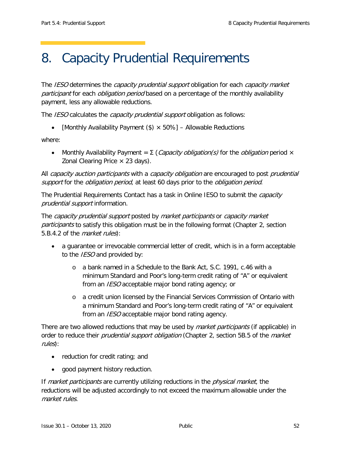# <span id="page-59-1"></span><span id="page-59-0"></span>8. Capacity Prudential Requirements

The IESO determines the capacity prudential support obligation for each capacity market participant for each *obligation period* based on a percentage of the monthly availability payment, less any allowable reductions.

The *IESO* calculates the *capacity prudential support* obligation as follows:

• [Monthly Availability Payment  $(\$) \times 50\%$ ] – Allowable Reductions

where:

• Monthly Availability Payment =  $\Sigma$  (*Capacity obligation(s)* for the *obligation* period  $\times$ Zonal Clearing Price  $\times$  23 days).

All capacity auction participants with a capacity obligation are encouraged to post prudential support for the *obligation period*, at least 60 days prior to the *obligation period*.

The Prudential Requirements Contact has a task in Online IESO to submit the *capacity* prudential support information.

The capacity prudential support posted by market participants or capacity market participants to satisfy this obligation must be in the following format (Chapter 2, section 5.B.4.2 of the market rules):

- a guarantee or irrevocable commercial letter of credit, which is in a form acceptable to the *IESO* and provided by:
	- o a bank named in a Schedule to the Bank Act, S.C. 1991, c.46 with a minimum Standard and Poor's long-term credit rating of "A" or equivalent from an IESO acceptable major bond rating agency; or
	- o a credit union licensed by the Financial Services Commission of Ontario with a minimum Standard and Poor's long-term credit rating of "A" or equivalent from an *IESO* acceptable major bond rating agency.

There are two allowed reductions that may be used by *market participants* (if applicable) in order to reduce their *prudential support obligation* (Chapter 2, section 5B.5 of the *market* rules):

- reduction for credit rating; and
- good payment history reduction.

If *market participants* are currently utilizing reductions in the *physical market*, the reductions will be adjusted accordingly to not exceed the maximum allowable under the market rules.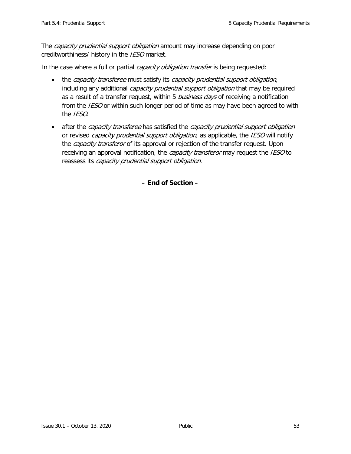The *capacity prudential support obligation* amount may increase depending on poor creditworthiness/ history in the IESO market.

In the case where a full or partial *capacity obligation transfer* is being requested:

- the capacity transferee must satisfy its capacity prudential support obligation, including any additional *capacity prudential support obligation* that may be required as a result of a transfer request, within 5 business days of receiving a notification from the *IESO* or within such longer period of time as may have been agreed to with the IESO.
- after the *capacity transferee* has satisfied the *capacity prudential support obligation* or revised *capacity prudential support obligation*, as applicable, the IESO will notify the *capacity transferor* of its approval or rejection of the transfer request. Upon receiving an approval notification, the *capacity transferor* may request the *IESO* to reassess its capacity prudential support obligation.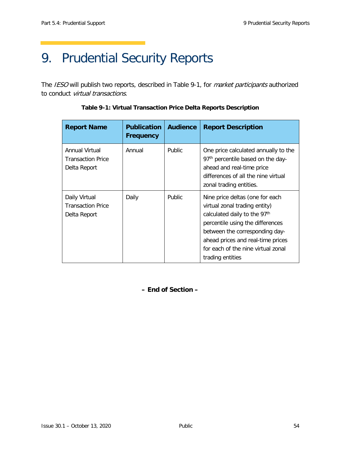# <span id="page-61-0"></span>9. Prudential Security Reports

<span id="page-61-1"></span>The IESO will publish two reports, described in [Table 9-1,](#page-61-1) for *market participants* authorized to conduct virtual transactions.

| <b>Report Name</b>                                         | <b>Publication</b><br><b>Frequency</b> | <b>Audience</b> | <b>Report Description</b>                                                                                                                                                                                                                                                         |
|------------------------------------------------------------|----------------------------------------|-----------------|-----------------------------------------------------------------------------------------------------------------------------------------------------------------------------------------------------------------------------------------------------------------------------------|
| Annual Virtual<br><b>Transaction Price</b><br>Delta Report | Annual                                 | Public.         | One price calculated annually to the<br>97 <sup>th</sup> percentile based on the day-<br>ahead and real-time price<br>differences of all the nine virtual<br>zonal trading entities.                                                                                              |
| Daily Virtual<br><b>Transaction Price</b><br>Delta Report  | Daily                                  | <b>Public</b>   | Nine price deltas (one for each<br>virtual zonal trading entity)<br>calculated daily to the 97 <sup>th</sup><br>percentile using the differences<br>between the corresponding day-<br>ahead prices and real-time prices<br>for each of the nine virtual zonal<br>trading entities |

**Table 9-1: Virtual Transaction Price Delta Reports Description**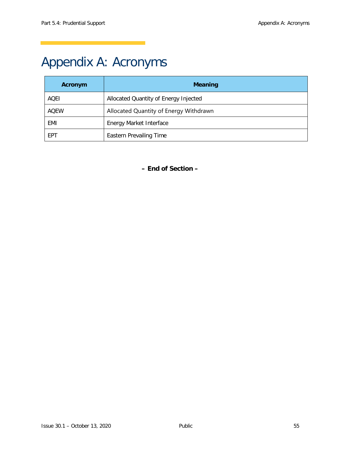# <span id="page-62-0"></span>Appendix A: Acronyms

| Acronym     | <b>Meaning</b>                         |
|-------------|----------------------------------------|
| AQEI        | Allocated Quantity of Energy Injected  |
| <b>AOEW</b> | Allocated Quantity of Energy Withdrawn |
| EMI         | Energy Market Interface                |
| <b>FPT</b>  | <b>Eastern Prevailing Time</b>         |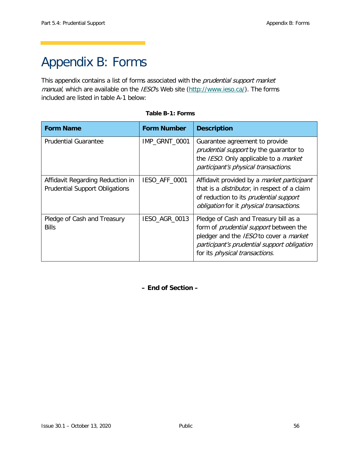# <span id="page-63-1"></span><span id="page-63-0"></span>Appendix B: Forms

This appendix contains a list of forms associated with the prudential support market manual, which are available on the IESO's Web site [\(http://www.ieso.ca/\)](http://www.theimo.com/). The forms included are listed in table A-1 below:

| <b>Form Name</b>                                                          | <b>Form Number</b> | <b>Description</b>                                                                                                                                                                                                        |
|---------------------------------------------------------------------------|--------------------|---------------------------------------------------------------------------------------------------------------------------------------------------------------------------------------------------------------------------|
| <b>Prudential Guarantee</b>                                               | IMP_GRNT_0001      | Guarantee agreement to provide<br><i>prudential support</i> by the guarantor to<br>the IESO. Only applicable to a <i>market</i><br>participant's physical transactions.                                                   |
| Affidavit Regarding Reduction in<br><b>Prudential Support Obligations</b> | IESO_AFF_0001      | Affidavit provided by a <i>market participant</i><br>that is a <i>distributor</i> , in respect of a claim<br>of reduction to its <i>prudential support</i><br>obligation for it physical transactions.                    |
| Pledge of Cash and Treasury<br><b>Bills</b>                               | IESO_AGR_0013      | Pledge of Cash and Treasury bill as a<br>form of <i>prudential support</i> between the<br>pledger and the IESO to cover a market<br>participant's prudential support obligation<br>for its <i>physical transactions</i> . |

#### **Table B-1: Forms**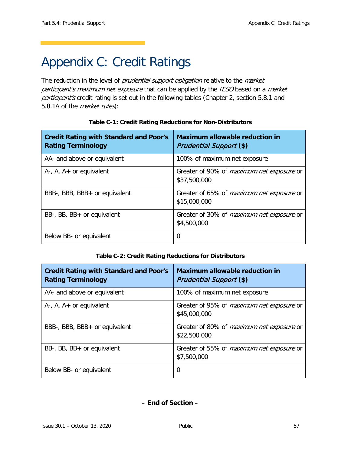# <span id="page-64-1"></span><span id="page-64-0"></span>Appendix C: Credit Ratings

The reduction in the level of prudential support obligation relative to the market participant's maximum net exposure that can be applied by the IESO based on a market participant's credit rating is set out in the following tables (Chapter 2, section 5.8.1 and 5.8.1A of the *market rules*):

| <b>Credit Rating with Standard and Poor's</b><br><b>Rating Terminology</b> | <b>Maximum allowable reduction in</b><br><b>Prudential Support (\$)</b> |
|----------------------------------------------------------------------------|-------------------------------------------------------------------------|
| AA- and above or equivalent                                                | 100% of maximum net exposure                                            |
| $A-$ , $A$ , $A+$ or equivalent                                            | Greater of 90% of <i>maximum net exposure</i> or<br>\$37,500,000        |
| BBB-, BBB, BBB+ or equivalent                                              | Greater of 65% of <i>maximum net exposure</i> or<br>\$15,000,000        |
| BB-, BB, BB+ or equivalent                                                 | Greater of 30% of <i>maximum net exposure</i> or<br>\$4,500,000         |
| Below BB- or equivalent                                                    | 0                                                                       |

#### **Table C-1: Credit Rating Reductions for Non-Distributors**

#### **Table C-2: Credit Rating Reductions for Distributors**

| <b>Credit Rating with Standard and Poor's</b><br><b>Rating Terminology</b> | <b>Maximum allowable reduction in</b><br><b>Prudential Support (\$)</b> |
|----------------------------------------------------------------------------|-------------------------------------------------------------------------|
| AA- and above or equivalent                                                | 100% of maximum net exposure                                            |
| $A-$ , $A$ , $A+$ or equivalent                                            | Greater of 95% of <i>maximum net exposure</i> or<br>\$45,000,000        |
| BBB-, BBB, BBB+ or equivalent                                              | Greater of 80% of <i>maximum net exposure</i> or<br>\$22,500,000        |
| BB-, BB, BB+ or equivalent                                                 | Greater of 55% of <i>maximum net exposure</i> or<br>\$7,500,000         |
| Below BB- or equivalent                                                    | $\Omega$                                                                |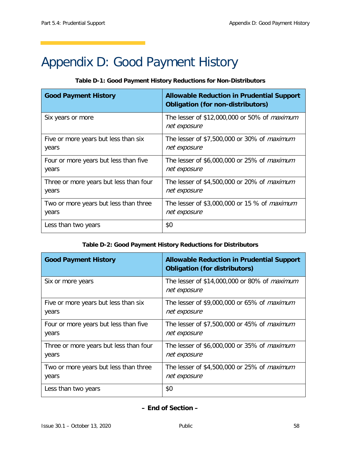# <span id="page-65-0"></span>Appendix D: Good Payment History

#### **Table D-1: Good Payment History Reductions for Non-Distributors**

| <b>Good Payment History</b>            | <b>Allowable Reduction in Prudential Support</b><br><b>Obligation (for non-distributors)</b> |
|----------------------------------------|----------------------------------------------------------------------------------------------|
| Six years or more                      | The lesser of \$12,000,000 or 50% of <i>maximum</i><br>net exposure                          |
| Five or more years but less than six   | The lesser of \$7,500,000 or 30% of <i>maximum</i>                                           |
| years                                  | net exposure                                                                                 |
| Four or more years but less than five  | The lesser of \$6,000,000 or 25% of <i>maximum</i>                                           |
| years                                  | net exposure                                                                                 |
| Three or more years but less than four | The lesser of \$4,500,000 or 20% of <i>maximum</i>                                           |
| years                                  | net exposure                                                                                 |
| Two or more years but less than three  | The lesser of \$3,000,000 or 15 % of <i>maximum</i>                                          |
| years                                  | net exposure                                                                                 |
| Less than two years                    | \$0                                                                                          |

#### **Table D-2: Good Payment History Reductions for Distributors**

| <b>Good Payment History</b>            | <b>Allowable Reduction in Prudential Support</b><br><b>Obligation (for distributors)</b> |
|----------------------------------------|------------------------------------------------------------------------------------------|
| Six or more years                      | The lesser of \$14,000,000 or 80% of <i>maximum</i><br>net exposure                      |
| Five or more years but less than six   | The lesser of \$9,000,000 or 65% of <i>maximum</i>                                       |
| years                                  | net exposure                                                                             |
| Four or more years but less than five  | The lesser of \$7,500,000 or 45% of <i>maximum</i>                                       |
| years                                  | net exposure                                                                             |
| Three or more years but less than four | The lesser of \$6,000,000 or 35% of <i>maximum</i>                                       |
| years                                  | net exposure                                                                             |
| Two or more years but less than three  | The lesser of \$4,500,000 or 25% of <i>maximum</i>                                       |
| years                                  | net exposure                                                                             |
| Less than two years                    | \$0                                                                                      |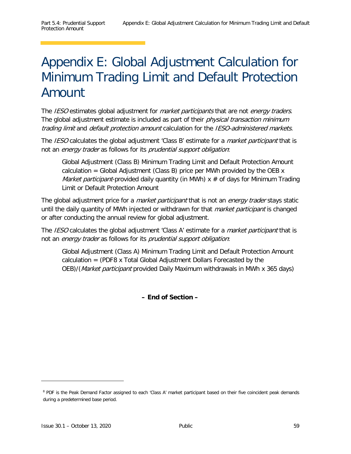# <span id="page-66-0"></span>Appendix E: Global Adjustment Calculation for Minimum Trading Limit and Default Protection Amount

The IESO estimates global adjustment for *market participants* that are not *energy traders*. The global adjustment estimate is included as part of their *physical transaction minimum* trading limit and default protection amount calculation for the IESO-administered markets.

The IESO calculates the global adjustment 'Class B' estimate for a *market participant* that is not an energy trader as follows for its prudential support obligation:

Global Adjustment (Class B) Minimum Trading Limit and Default Protection Amount calculation = Global Adjustment (Class B) price per MWh provided by the OEB  $x$ *Market participant*-provided daily quantity (in MWh)  $x \neq 0$  days for Minimum Trading Limit or Default Protection Amount

The global adjustment price for a *market participant* that is not an *energy trader* stays static until the daily quantity of MWh injected or withdrawn for that *market participant* is changed or after conducting the annual review for global adjustment.

The *IESO* calculates the global adjustment 'Class A' estimate for a *market participant* that is not an energy trader as follows for its prudential support obligation:

Global Adjustment (Class A) Minimum Trading Limit and Default Protection Amount calculation = (PDF[8](#page-66-1) x Total Global Adjustment Dollars Forecasted by the OEB)/(Market participant provided Daily Maximum withdrawals in MWh x 365 days)

**– End of Section –**

ł

<span id="page-66-1"></span><sup>&</sup>lt;sup>8</sup> PDF is the Peak Demand Factor assigned to each 'Class A' market participant based on their five coincident peak demands during a predetermined base period.